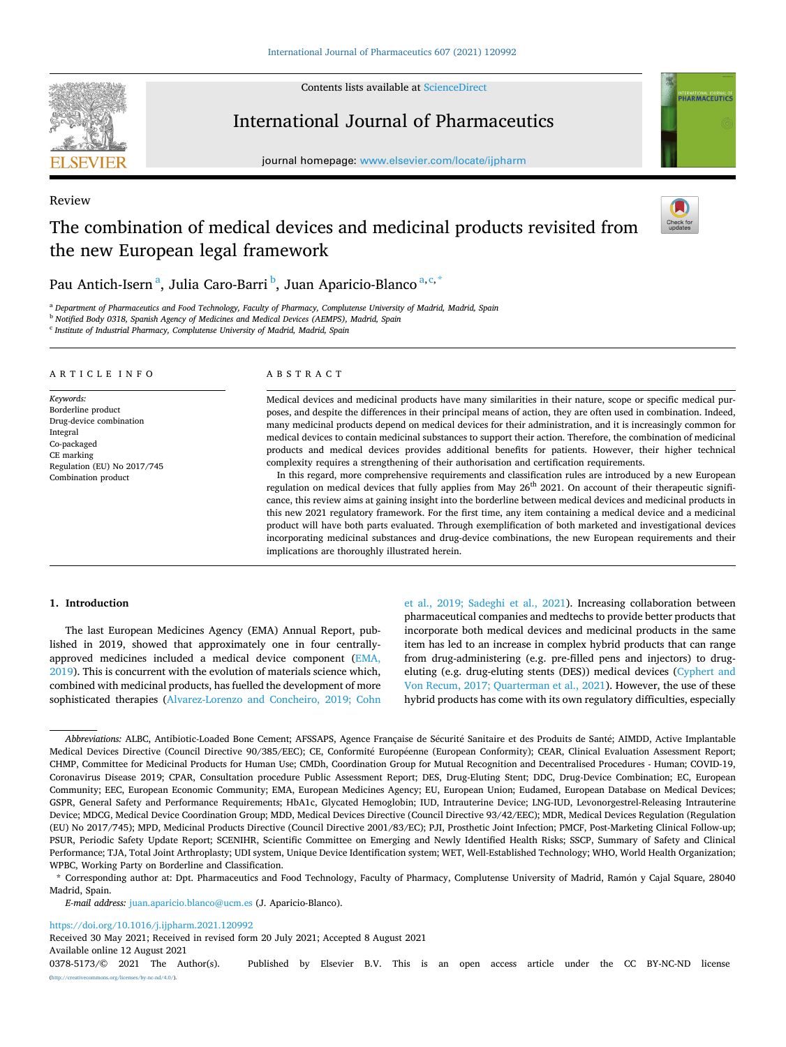

Review

Contents lists available at [ScienceDirect](www.sciencedirect.com/science/journal/03785173)

# International Journal of Pharmaceutics

journal homepage: [www.elsevier.com/locate/ijpharm](https://www.elsevier.com/locate/ijpharm)



# The combination of medical devices and medicinal products revisited from the new European legal framework



Pau Antich-Isern<sup>a</sup>, Julia Caro-Barri <sup>b</sup>, Juan Aparicio-Blanco<sup>a,c,\*</sup>

<sup>a</sup> *Department of Pharmaceutics and Food Technology, Faculty of Pharmacy, Complutense University of Madrid, Madrid, Spain* 

<sup>b</sup> *Notified Body 0318, Spanish Agency of Medicines and Medical Devices (AEMPS), Madrid, Spain* 

<sup>c</sup> *Institute of Industrial Pharmacy, Complutense University of Madrid, Madrid, Spain* 

#### ARTICLE INFO

*Keywords:*  Borderline product Drug-device combination Integral Co-packaged CE marking Regulation (EU) No 2017/745 Combination product

## ABSTRACT

Medical devices and medicinal products have many similarities in their nature, scope or specific medical purposes, and despite the differences in their principal means of action, they are often used in combination. Indeed, many medicinal products depend on medical devices for their administration, and it is increasingly common for medical devices to contain medicinal substances to support their action. Therefore, the combination of medicinal products and medical devices provides additional benefits for patients. However, their higher technical complexity requires a strengthening of their authorisation and certification requirements.

In this regard, more comprehensive requirements and classification rules are introduced by a new European regulation on medical devices that fully applies from May 26<sup>th</sup> 2021. On account of their therapeutic significance, this review aims at gaining insight into the borderline between medical devices and medicinal products in this new 2021 regulatory framework. For the first time, any item containing a medical device and a medicinal product will have both parts evaluated. Through exemplification of both marketed and investigational devices incorporating medicinal substances and drug-device combinations, the new European requirements and their implications are thoroughly illustrated herein.

#### **1. Introduction**

The last European Medicines Agency (EMA) Annual Report, published in 2019, showed that approximately one in four centrallyapproved medicines included a medical device component [\(EMA,](#page-14-0)  [2019\)](#page-14-0). This is concurrent with the evolution of materials science which, combined with medicinal products, has fuelled the development of more sophisticated therapies ([Alvarez-Lorenzo and Concheiro, 2019; Cohn](#page-13-0)  [et al., 2019; Sadeghi et al., 2021](#page-13-0)). Increasing collaboration between pharmaceutical companies and medtechs to provide better products that incorporate both medical devices and medicinal products in the same item has led to an increase in complex hybrid products that can range from drug-administering (e.g. pre-filled pens and injectors) to drugeluting (e.g. drug-eluting stents (DES)) medical devices [\(Cyphert and](#page-14-0)  [Von Recum, 2017; Quarterman et al., 2021](#page-14-0)). However, the use of these hybrid products has come with its own regulatory difficulties, especially

*E-mail address:* [juan.aparicio.blanco@ucm.es](mailto:juan.aparicio.blanco@ucm.es) (J. Aparicio-Blanco).

<https://doi.org/10.1016/j.ijpharm.2021.120992>

Received 30 May 2021; Received in revised form 20 July 2021; Accepted 8 August 2021

Available online 12 August 2021

Abbreviations: ALBC, Antibiotic-Loaded Bone Cement; AFSSAPS, Agence Française de Sécurité Sanitaire et des Produits de Santé; AIMDD, Active Implantable Medical Devices Directive (Council Directive 90/385/EEC); CE, Conformité Européenne (European Conformity); CEAR, Clinical Evaluation Assessment Report; CHMP, Committee for Medicinal Products for Human Use; CMDh, Coordination Group for Mutual Recognition and Decentralised Procedures - Human; COVID-19, Coronavirus Disease 2019; CPAR, Consultation procedure Public Assessment Report; DES, Drug-Eluting Stent; DDC, Drug-Device Combination; EC, European Community; EEC, European Economic Community; EMA, European Medicines Agency; EU, European Union; Eudamed, European Database on Medical Devices; GSPR, General Safety and Performance Requirements; HbA1c, Glycated Hemoglobin; IUD, Intrauterine Device; LNG-IUD, Levonorgestrel-Releasing Intrauterine Device; MDCG, Medical Device Coordination Group; MDD, Medical Devices Directive (Council Directive 93/42/EEC); MDR, Medical Devices Regulation (Regulation (EU) No 2017/745); MPD, Medicinal Products Directive (Council Directive 2001/83/EC); PJI, Prosthetic Joint Infection; PMCF, Post-Marketing Clinical Follow-up; PSUR, Periodic Safety Update Report; SCENIHR, Scientific Committee on Emerging and Newly Identified Health Risks; SSCP, Summary of Safety and Clinical Performance; TJA, Total Joint Arthroplasty; UDI system, Unique Device Identification system; WET, Well-Established Technology; WHO, World Health Organization; WPBC, Working Party on Borderline and Classification.

<sup>\*</sup> Corresponding author at: Dpt. Pharmaceutics and Food Technology, Faculty of Pharmacy, Complutense University of Madrid, Ramón y Cajal Square, 28040 Madrid, Spain.

<sup>0378-5173/© 2021</sup> The Author(s). Published by Elsevier B.V. This is an open access article under the CC BY-NC-ND license [\(http://creativecommons.org/licenses/by-nc-nd/4.0/\)](http://creativecommons.org/licenses/by-nc-nd/4.0/).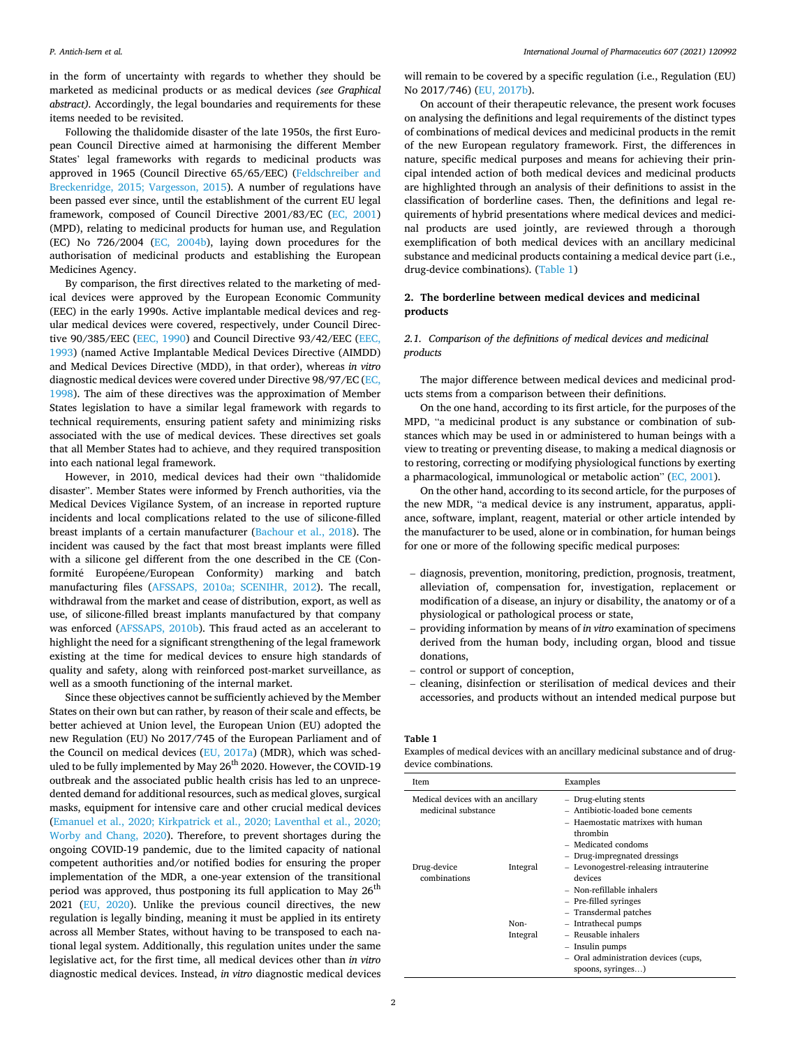in the form of uncertainty with regards to whether they should be marketed as medicinal products or as medical devices *(see Graphical abstract).* Accordingly, the legal boundaries and requirements for these items needed to be revisited.

Following the thalidomide disaster of the late 1950s, the first European Council Directive aimed at harmonising the different Member States' legal frameworks with regards to medicinal products was approved in 1965 (Council Directive 65/65/EEC) ([Feldschreiber and](#page-14-0)  [Breckenridge, 2015; Vargesson, 2015\)](#page-14-0). A number of regulations have been passed ever since, until the establishment of the current EU legal framework, composed of Council Directive 2001/83/EC ([EC, 2001\)](#page-14-0) (MPD), relating to medicinal products for human use, and Regulation (EC) No 726/2004 [\(EC, 2004b](#page-14-0)), laying down procedures for the authorisation of medicinal products and establishing the European Medicines Agency.

By comparison, the first directives related to the marketing of medical devices were approved by the European Economic Community (EEC) in the early 1990s. Active implantable medical devices and regular medical devices were covered, respectively, under Council Directive 90/385/EEC ([EEC, 1990\)](#page-14-0) and Council Directive 93/42/EEC [\(EEC,](#page-14-0)  [1993\)](#page-14-0) (named Active Implantable Medical Devices Directive (AIMDD) and Medical Devices Directive (MDD), in that order), whereas *in vitro*  diagnostic medical devices were covered under Directive 98/97/EC ([EC,](#page-14-0)  [1998\)](#page-14-0). The aim of these directives was the approximation of Member States legislation to have a similar legal framework with regards to technical requirements, ensuring patient safety and minimizing risks associated with the use of medical devices. These directives set goals that all Member States had to achieve, and they required transposition into each national legal framework.

However, in 2010, medical devices had their own "thalidomide disaster". Member States were informed by French authorities, via the Medical Devices Vigilance System, of an increase in reported rupture incidents and local complications related to the use of silicone-filled breast implants of a certain manufacturer ([Bachour et al., 2018](#page-13-0)). The incident was caused by the fact that most breast implants were filled with a silicone gel different from the one described in the CE (Conformité Européene/European Conformity) marking and batch manufacturing files [\(AFSSAPS, 2010a; SCENIHR, 2012\)](#page-13-0). The recall, withdrawal from the market and cease of distribution, export, as well as use, of silicone-filled breast implants manufactured by that company was enforced ([AFSSAPS, 2010b\)](#page-13-0). This fraud acted as an accelerant to highlight the need for a significant strengthening of the legal framework existing at the time for medical devices to ensure high standards of quality and safety, along with reinforced post-market surveillance, as well as a smooth functioning of the internal market.

Since these objectives cannot be sufficiently achieved by the Member States on their own but can rather, by reason of their scale and effects, be better achieved at Union level, the European Union (EU) adopted the new Regulation (EU) No 2017/745 of the European Parliament and of the Council on medical devices [\(EU, 2017a\)](#page-14-0) (MDR), which was scheduled to be fully implemented by May 26<sup>th</sup> 2020. However, the COVID-19 outbreak and the associated public health crisis has led to an unprecedented demand for additional resources, such as medical gloves, surgical masks, equipment for intensive care and other crucial medical devices ([Emanuel et al., 2020; Kirkpatrick et al., 2020; Laventhal et al., 2020;](#page-14-0)  [Worby and Chang, 2020](#page-14-0)). Therefore, to prevent shortages during the ongoing COVID-19 pandemic, due to the limited capacity of national competent authorities and/or notified bodies for ensuring the proper implementation of the MDR, a one-year extension of the transitional period was approved, thus postponing its full application to May 26<sup>th</sup> 2021 [\(EU, 2020](#page-14-0)). Unlike the previous council directives, the new regulation is legally binding, meaning it must be applied in its entirety across all Member States, without having to be transposed to each national legal system. Additionally, this regulation unites under the same legislative act, for the first time, all medical devices other than *in vitro*  diagnostic medical devices. Instead, *in vitro* diagnostic medical devices

will remain to be covered by a specific regulation (i.e., Regulation (EU) No 2017/746) ([EU, 2017b](#page-14-0)).

On account of their therapeutic relevance, the present work focuses on analysing the definitions and legal requirements of the distinct types of combinations of medical devices and medicinal products in the remit of the new European regulatory framework. First, the differences in nature, specific medical purposes and means for achieving their principal intended action of both medical devices and medicinal products are highlighted through an analysis of their definitions to assist in the classification of borderline cases. Then, the definitions and legal requirements of hybrid presentations where medical devices and medicinal products are used jointly, are reviewed through a thorough exemplification of both medical devices with an ancillary medicinal substance and medicinal products containing a medical device part (i.e., drug-device combinations). (Table 1)

# **2. The borderline between medical devices and medicinal products**

# *2.1. Comparison of the definitions of medical devices and medicinal products*

The major difference between medical devices and medicinal products stems from a comparison between their definitions.

On the one hand, according to its first article, for the purposes of the MPD, "a medicinal product is any substance or combination of substances which may be used in or administered to human beings with a view to treating or preventing disease, to making a medical diagnosis or to restoring, correcting or modifying physiological functions by exerting a pharmacological, immunological or metabolic action" ([EC, 2001](#page-14-0)).

On the other hand, according to its second article, for the purposes of the new MDR, "a medical device is any instrument, apparatus, appliance, software, implant, reagent, material or other article intended by the manufacturer to be used, alone or in combination, for human beings for one or more of the following specific medical purposes:

- diagnosis, prevention, monitoring, prediction, prognosis, treatment, alleviation of, compensation for, investigation, replacement or modification of a disease, an injury or disability, the anatomy or of a physiological or pathological process or state,
- providing information by means of *in vitro* examination of specimens derived from the human body, including organ, blood and tissue donations,
- control or support of conception,
- cleaning, disinfection or sterilisation of medical devices and their accessories, and products without an intended medical purpose but

# **Table 1**

Examples of medical devices with an ancillary medicinal substance and of drugdevice combinations.

| Item                                                     |                  | Examples                                                                                                                                                        |  |  |  |  |  |
|----------------------------------------------------------|------------------|-----------------------------------------------------------------------------------------------------------------------------------------------------------------|--|--|--|--|--|
| Medical devices with an ancillary<br>medicinal substance |                  | - Drug-eluting stents<br>- Antibiotic-loaded bone cements<br>Haemostatic matrixes with human<br>thrombin<br>- Medicated condoms<br>- Drug-impregnated dressings |  |  |  |  |  |
| Drug-device<br>combinations                              | Integral         | - Levonogestrel-releasing intrauterine<br>devices<br>- Non-refillable inhalers<br>- Pre-filled syringes<br>- Transdermal patches                                |  |  |  |  |  |
|                                                          | Non-<br>Integral | - Intrathecal pumps<br>- Reusable inhalers<br>- Insulin pumps<br>- Oral administration devices (cups,<br>spoons, syringes)                                      |  |  |  |  |  |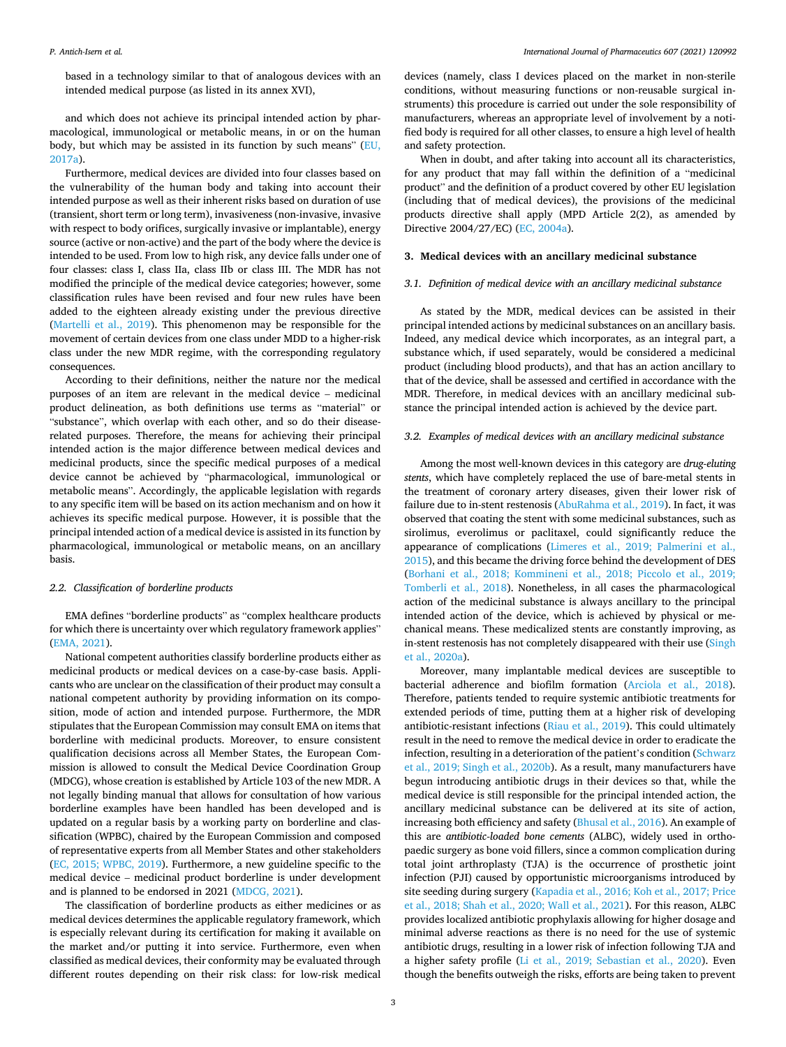*International Journal of Pharmaceutics 607 (2021) 120992*

based in a technology similar to that of analogous devices with an intended medical purpose (as listed in its annex XVI),

and which does not achieve its principal intended action by pharmacological, immunological or metabolic means, in or on the human body, but which may be assisted in its function by such means" [\(EU,](#page-14-0)  [2017a\)](#page-14-0).

Furthermore, medical devices are divided into four classes based on the vulnerability of the human body and taking into account their intended purpose as well as their inherent risks based on duration of use (transient, short term or long term), invasiveness (non-invasive, invasive with respect to body orifices, surgically invasive or implantable), energy source (active or non-active) and the part of the body where the device is intended to be used. From low to high risk, any device falls under one of four classes: class I, class IIa, class IIb or class III. The MDR has not modified the principle of the medical device categories; however, some classification rules have been revised and four new rules have been added to the eighteen already existing under the previous directive ([Martelli et al., 2019](#page-15-0)). This phenomenon may be responsible for the movement of certain devices from one class under MDD to a higher-risk class under the new MDR regime, with the corresponding regulatory consequences.

According to their definitions, neither the nature nor the medical purposes of an item are relevant in the medical device – medicinal product delineation, as both definitions use terms as "material" or "substance", which overlap with each other, and so do their diseaserelated purposes. Therefore, the means for achieving their principal intended action is the major difference between medical devices and medicinal products, since the specific medical purposes of a medical device cannot be achieved by "pharmacological, immunological or metabolic means". Accordingly, the applicable legislation with regards to any specific item will be based on its action mechanism and on how it achieves its specific medical purpose. However, it is possible that the principal intended action of a medical device is assisted in its function by pharmacological, immunological or metabolic means, on an ancillary basis.

## *2.2. Classification of borderline products*

EMA defines "borderline products" as "complex healthcare products for which there is uncertainty over which regulatory framework applies" ([EMA, 2021](#page-14-0)).

National competent authorities classify borderline products either as medicinal products or medical devices on a case-by-case basis. Applicants who are unclear on the classification of their product may consult a national competent authority by providing information on its composition, mode of action and intended purpose. Furthermore, the MDR stipulates that the European Commission may consult EMA on items that borderline with medicinal products. Moreover, to ensure consistent qualification decisions across all Member States, the European Commission is allowed to consult the Medical Device Coordination Group (MDCG), whose creation is established by Article 103 of the new MDR. A not legally binding manual that allows for consultation of how various borderline examples have been handled has been developed and is updated on a regular basis by a working party on borderline and classification (WPBC), chaired by the European Commission and composed of representative experts from all Member States and other stakeholders ([EC, 2015; WPBC, 2019\)](#page-14-0). Furthermore, a new guideline specific to the medical device – medicinal product borderline is under development and is planned to be endorsed in 2021 ([MDCG, 2021\)](#page-15-0).

The classification of borderline products as either medicines or as medical devices determines the applicable regulatory framework, which is especially relevant during its certification for making it available on the market and/or putting it into service. Furthermore, even when classified as medical devices, their conformity may be evaluated through different routes depending on their risk class: for low-risk medical

devices (namely, class I devices placed on the market in non-sterile conditions, without measuring functions or non-reusable surgical instruments) this procedure is carried out under the sole responsibility of manufacturers, whereas an appropriate level of involvement by a notified body is required for all other classes, to ensure a high level of health and safety protection.

When in doubt, and after taking into account all its characteristics, for any product that may fall within the definition of a "medicinal product" and the definition of a product covered by other EU legislation (including that of medical devices), the provisions of the medicinal products directive shall apply (MPD Article 2(2), as amended by Directive 2004/27/EC) ([EC, 2004a\)](#page-14-0).

#### **3. Medical devices with an ancillary medicinal substance**

# *3.1. Definition of medical device with an ancillary medicinal substance*

As stated by the MDR, medical devices can be assisted in their principal intended actions by medicinal substances on an ancillary basis. Indeed, any medical device which incorporates, as an integral part, a substance which, if used separately, would be considered a medicinal product (including blood products), and that has an action ancillary to that of the device, shall be assessed and certified in accordance with the MDR. Therefore, in medical devices with an ancillary medicinal substance the principal intended action is achieved by the device part.

### *3.2. Examples of medical devices with an ancillary medicinal substance*

Among the most well-known devices in this category are *drug-eluting stents*, which have completely replaced the use of bare-metal stents in the treatment of coronary artery diseases, given their lower risk of failure due to in-stent restenosis [\(AbuRahma et al., 2019\)](#page-13-0). In fact, it was observed that coating the stent with some medicinal substances, such as sirolimus, everolimus or paclitaxel, could significantly reduce the appearance of complications [\(Limeres et al., 2019; Palmerini et al.,](#page-14-0)  [2015\)](#page-14-0), and this became the driving force behind the development of DES ([Borhani et al., 2018; Kommineni et al., 2018; Piccolo et al., 2019;](#page-13-0)  [Tomberli et al., 2018](#page-13-0)). Nonetheless, in all cases the pharmacological action of the medicinal substance is always ancillary to the principal intended action of the device, which is achieved by physical or mechanical means. These medicalized stents are constantly improving, as in-stent restenosis has not completely disappeared with their use ([Singh](#page-15-0)  [et al., 2020a\)](#page-15-0).

Moreover, many implantable medical devices are susceptible to bacterial adherence and biofilm formation ([Arciola et al., 2018](#page-13-0)). Therefore, patients tended to require systemic antibiotic treatments for extended periods of time, putting them at a higher risk of developing antibiotic-resistant infections [\(Riau et al., 2019](#page-15-0)). This could ultimately result in the need to remove the medical device in order to eradicate the infection, resulting in a deterioration of the patient's condition [\(Schwarz](#page-15-0)  [et al., 2019; Singh et al., 2020b](#page-15-0)). As a result, many manufacturers have begun introducing antibiotic drugs in their devices so that, while the medical device is still responsible for the principal intended action, the ancillary medicinal substance can be delivered at its site of action, increasing both efficiency and safety [\(Bhusal et al., 2016](#page-13-0)). An example of this are *antibiotic-loaded bone cements* (ALBC), widely used in orthopaedic surgery as bone void fillers, since a common complication during total joint arthroplasty (TJA) is the occurrence of prosthetic joint infection (PJI) caused by opportunistic microorganisms introduced by site seeding during surgery ([Kapadia et al., 2016; Koh et al., 2017; Price](#page-14-0)  [et al., 2018; Shah et al., 2020; Wall et al., 2021\)](#page-14-0). For this reason, ALBC provides localized antibiotic prophylaxis allowing for higher dosage and minimal adverse reactions as there is no need for the use of systemic antibiotic drugs, resulting in a lower risk of infection following TJA and a higher safety profile [\(Li et al., 2019; Sebastian et al., 2020\)](#page-14-0). Even though the benefits outweigh the risks, efforts are being taken to prevent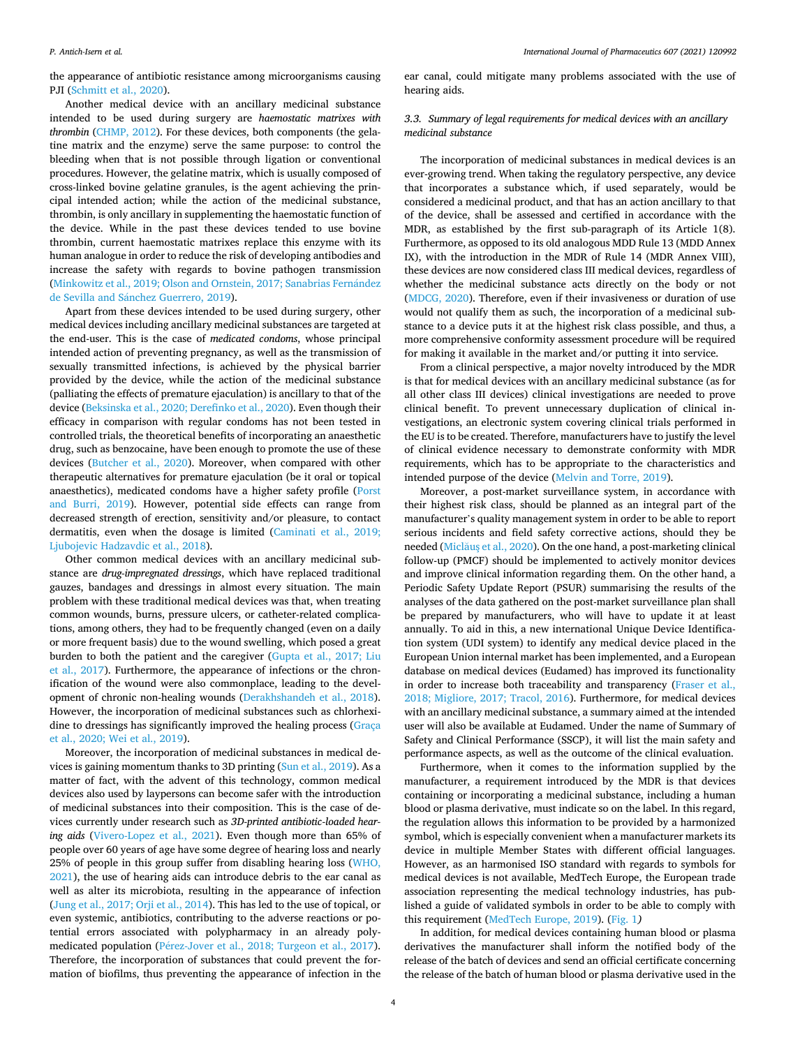the appearance of antibiotic resistance among microorganisms causing PJI [\(Schmitt et al., 2020\)](#page-15-0).

Another medical device with an ancillary medicinal substance intended to be used during surgery are *haemostatic matrixes with thrombin* [\(CHMP, 2012](#page-13-0)). For these devices, both components (the gelatine matrix and the enzyme) serve the same purpose: to control the bleeding when that is not possible through ligation or conventional procedures. However, the gelatine matrix, which is usually composed of cross-linked bovine gelatine granules, is the agent achieving the principal intended action; while the action of the medicinal substance, thrombin, is only ancillary in supplementing the haemostatic function of the device. While in the past these devices tended to use bovine thrombin, current haemostatic matrixes replace this enzyme with its human analogue in order to reduce the risk of developing antibodies and increase the safety with regards to bovine pathogen transmission (Minkowitz et al., 2019; Olson and Ornstein, 2017; Sanabrias Fernández de Sevilla and Sánchez Guerrero, 2019).

Apart from these devices intended to be used during surgery, other medical devices including ancillary medicinal substances are targeted at the end-user. This is the case of *medicated condoms*, whose principal intended action of preventing pregnancy, as well as the transmission of sexually transmitted infections, is achieved by the physical barrier provided by the device, while the action of the medicinal substance (palliating the effects of premature ejaculation) is ancillary to that of the device ([Beksinska et al., 2020; Derefinko et al., 2020](#page-13-0)). Even though their efficacy in comparison with regular condoms has not been tested in controlled trials, the theoretical benefits of incorporating an anaesthetic drug, such as benzocaine, have been enough to promote the use of these devices ([Butcher et al., 2020](#page-13-0)). Moreover, when compared with other therapeutic alternatives for premature ejaculation (be it oral or topical anaesthetics), medicated condoms have a higher safety profile ([Porst](#page-15-0)  [and Burri, 2019\)](#page-15-0). However, potential side effects can range from decreased strength of erection, sensitivity and/or pleasure, to contact dermatitis, even when the dosage is limited [\(Caminati et al., 2019;](#page-13-0)  [Ljubojevic Hadzavdic et al., 2018](#page-13-0)).

Other common medical devices with an ancillary medicinal substance are *drug-impregnated dressings*, which have replaced traditional gauzes, bandages and dressings in almost every situation. The main problem with these traditional medical devices was that, when treating common wounds, burns, pressure ulcers, or catheter-related complications, among others, they had to be frequently changed (even on a daily or more frequent basis) due to the wound swelling, which posed a great burden to both the patient and the caregiver [\(Gupta et al., 2017; Liu](#page-14-0)  [et al., 2017](#page-14-0)). Furthermore, the appearance of infections or the chronification of the wound were also commonplace, leading to the development of chronic non-healing wounds [\(Derakhshandeh et al., 2018](#page-14-0)). However, the incorporation of medicinal substances such as chlorhexidine to dressings has significantly improved the healing process [\(Graça](#page-14-0)  [et al., 2020; Wei et al., 2019\)](#page-14-0).

Moreover, the incorporation of medicinal substances in medical devices is gaining momentum thanks to 3D printing [\(Sun et al., 2019](#page-16-0)). As a matter of fact, with the advent of this technology, common medical devices also used by laypersons can become safer with the introduction of medicinal substances into their composition. This is the case of devices currently under research such as *3D-printed antibiotic-loaded hearing aids* ([Vivero-Lopez et al., 2021](#page-16-0)). Even though more than 65% of people over 60 years of age have some degree of hearing loss and nearly 25% of people in this group suffer from disabling hearing loss [\(WHO,](#page-16-0)  [2021\)](#page-16-0), the use of hearing aids can introduce debris to the ear canal as well as alter its microbiota, resulting in the appearance of infection ([Jung et al., 2017; Orji et al., 2014](#page-14-0)). This has led to the use of topical, or even systemic, antibiotics, contributing to the adverse reactions or potential errors associated with polypharmacy in an already polymedicated population (Pérez-Jover et al., 2018; Turgeon et al., 2017). Therefore, the incorporation of substances that could prevent the formation of biofilms, thus preventing the appearance of infection in the

ear canal, could mitigate many problems associated with the use of hearing aids.

# *3.3. Summary of legal requirements for medical devices with an ancillary medicinal substance*

The incorporation of medicinal substances in medical devices is an ever-growing trend. When taking the regulatory perspective, any device that incorporates a substance which, if used separately, would be considered a medicinal product, and that has an action ancillary to that of the device, shall be assessed and certified in accordance with the MDR, as established by the first sub-paragraph of its Article 1(8). Furthermore, as opposed to its old analogous MDD Rule 13 (MDD Annex IX), with the introduction in the MDR of Rule 14 (MDR Annex VIII), these devices are now considered class III medical devices, regardless of whether the medicinal substance acts directly on the body or not ([MDCG, 2020](#page-15-0)). Therefore, even if their invasiveness or duration of use would not qualify them as such, the incorporation of a medicinal substance to a device puts it at the highest risk class possible, and thus, a more comprehensive conformity assessment procedure will be required for making it available in the market and/or putting it into service.

From a clinical perspective, a major novelty introduced by the MDR is that for medical devices with an ancillary medicinal substance (as for all other class III devices) clinical investigations are needed to prove clinical benefit. To prevent unnecessary duplication of clinical investigations, an electronic system covering clinical trials performed in the EU is to be created. Therefore, manufacturers have to justify the level of clinical evidence necessary to demonstrate conformity with MDR requirements, which has to be appropriate to the characteristics and intended purpose of the device [\(Melvin and Torre, 2019](#page-15-0)).

Moreover, a post-market surveillance system, in accordance with their highest risk class, should be planned as an integral part of the manufacturer's quality management system in order to be able to report serious incidents and field safety corrective actions, should they be needed (Miclaus et al., 2020). On the one hand, a post-marketing clinical follow-up (PMCF) should be implemented to actively monitor devices and improve clinical information regarding them. On the other hand, a Periodic Safety Update Report (PSUR) summarising the results of the analyses of the data gathered on the post-market surveillance plan shall be prepared by manufacturers, who will have to update it at least annually. To aid in this, a new international Unique Device Identification system (UDI system) to identify any medical device placed in the European Union internal market has been implemented, and a European database on medical devices (Eudamed) has improved its functionality in order to increase both traceability and transparency [\(Fraser et al.,](#page-14-0)  [2018; Migliore, 2017; Tracol, 2016\)](#page-14-0). Furthermore, for medical devices with an ancillary medicinal substance, a summary aimed at the intended user will also be available at Eudamed. Under the name of Summary of Safety and Clinical Performance (SSCP), it will list the main safety and performance aspects, as well as the outcome of the clinical evaluation.

Furthermore, when it comes to the information supplied by the manufacturer, a requirement introduced by the MDR is that devices containing or incorporating a medicinal substance, including a human blood or plasma derivative, must indicate so on the label. In this regard, the regulation allows this information to be provided by a harmonized symbol, which is especially convenient when a manufacturer markets its device in multiple Member States with different official languages. However, as an harmonised ISO standard with regards to symbols for medical devices is not available, MedTech Europe, the European trade association representing the medical technology industries, has published a guide of validated symbols in order to be able to comply with this requirement ([MedTech Europe, 2019\)](#page-15-0). [\(Fig. 1](#page-4-0)*)* 

In addition, for medical devices containing human blood or plasma derivatives the manufacturer shall inform the notified body of the release of the batch of devices and send an official certificate concerning the release of the batch of human blood or plasma derivative used in the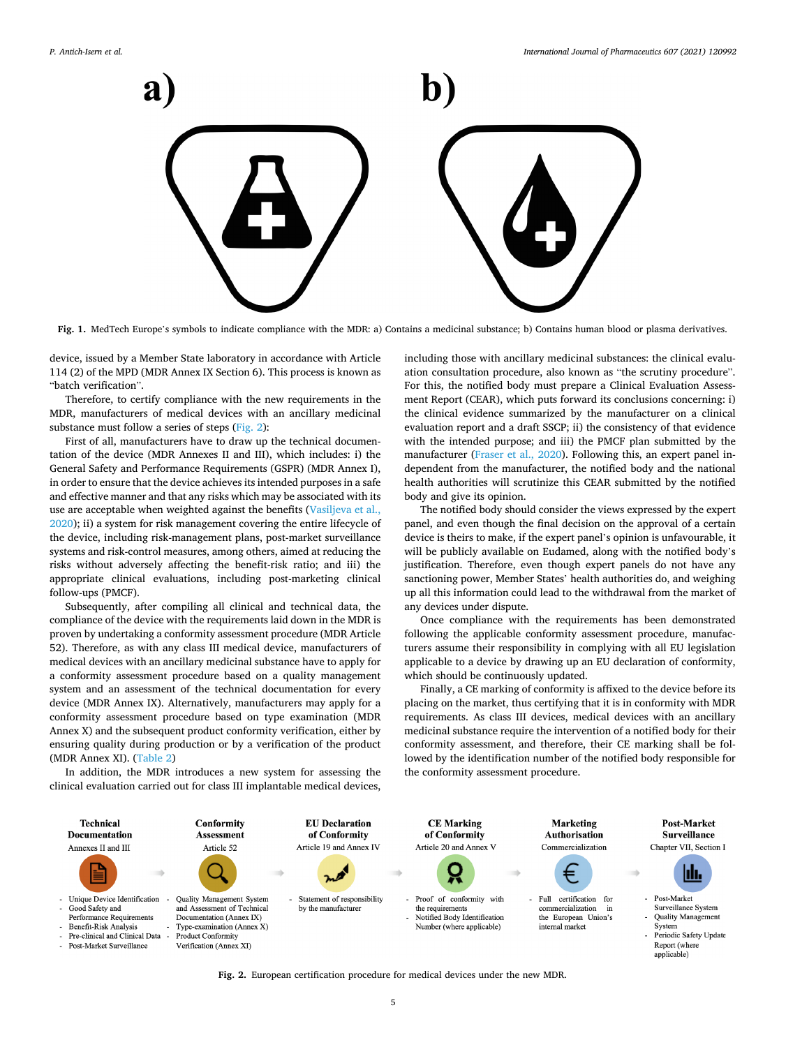<span id="page-4-0"></span>

**Fig. 1.** MedTech Europe's symbols to indicate compliance with the MDR: a) Contains a medicinal substance; b) Contains human blood or plasma derivatives.

device, issued by a Member State laboratory in accordance with Article 114 (2) of the MPD (MDR Annex IX Section 6). This process is known as "batch verification".

Therefore, to certify compliance with the new requirements in the MDR, manufacturers of medical devices with an ancillary medicinal substance must follow a series of steps (Fig. 2):

First of all, manufacturers have to draw up the technical documentation of the device (MDR Annexes II and III), which includes: i) the General Safety and Performance Requirements (GSPR) (MDR Annex I), in order to ensure that the device achieves its intended purposes in a safe and effective manner and that any risks which may be associated with its use are acceptable when weighted against the benefits ([Vasiljeva et al.,](#page-16-0)  [2020\)](#page-16-0); ii) a system for risk management covering the entire lifecycle of the device, including risk-management plans, post-market surveillance systems and risk-control measures, among others, aimed at reducing the risks without adversely affecting the benefit-risk ratio; and iii) the appropriate clinical evaluations, including post-marketing clinical follow-ups (PMCF).

Subsequently, after compiling all clinical and technical data, the compliance of the device with the requirements laid down in the MDR is proven by undertaking a conformity assessment procedure (MDR Article 52). Therefore, as with any class III medical device, manufacturers of medical devices with an ancillary medicinal substance have to apply for a conformity assessment procedure based on a quality management system and an assessment of the technical documentation for every device (MDR Annex IX). Alternatively, manufacturers may apply for a conformity assessment procedure based on type examination (MDR Annex X) and the subsequent product conformity verification, either by ensuring quality during production or by a verification of the product (MDR Annex XI). ([Table 2](#page-5-0))

In addition, the MDR introduces a new system for assessing the clinical evaluation carried out for class III implantable medical devices,

including those with ancillary medicinal substances: the clinical evaluation consultation procedure, also known as "the scrutiny procedure". For this, the notified body must prepare a Clinical Evaluation Assessment Report (CEAR), which puts forward its conclusions concerning: i) the clinical evidence summarized by the manufacturer on a clinical evaluation report and a draft SSCP; ii) the consistency of that evidence with the intended purpose; and iii) the PMCF plan submitted by the manufacturer [\(Fraser et al., 2020\)](#page-14-0). Following this, an expert panel independent from the manufacturer, the notified body and the national health authorities will scrutinize this CEAR submitted by the notified body and give its opinion.

The notified body should consider the views expressed by the expert panel, and even though the final decision on the approval of a certain device is theirs to make, if the expert panel's opinion is unfavourable, it will be publicly available on Eudamed, along with the notified body's justification. Therefore, even though expert panels do not have any sanctioning power, Member States' health authorities do, and weighing up all this information could lead to the withdrawal from the market of any devices under dispute.

Once compliance with the requirements has been demonstrated following the applicable conformity assessment procedure, manufacturers assume their responsibility in complying with all EU legislation applicable to a device by drawing up an EU declaration of conformity, which should be continuously updated.

Finally, a CE marking of conformity is affixed to the device before its placing on the market, thus certifying that it is in conformity with MDR requirements. As class III devices, medical devices with an ancillary medicinal substance require the intervention of a notified body for their conformity assessment, and therefore, their CE marking shall be followed by the identification number of the notified body responsible for the conformity assessment procedure.



**Fig. 2.** European certification procedure for medical devices under the new MDR.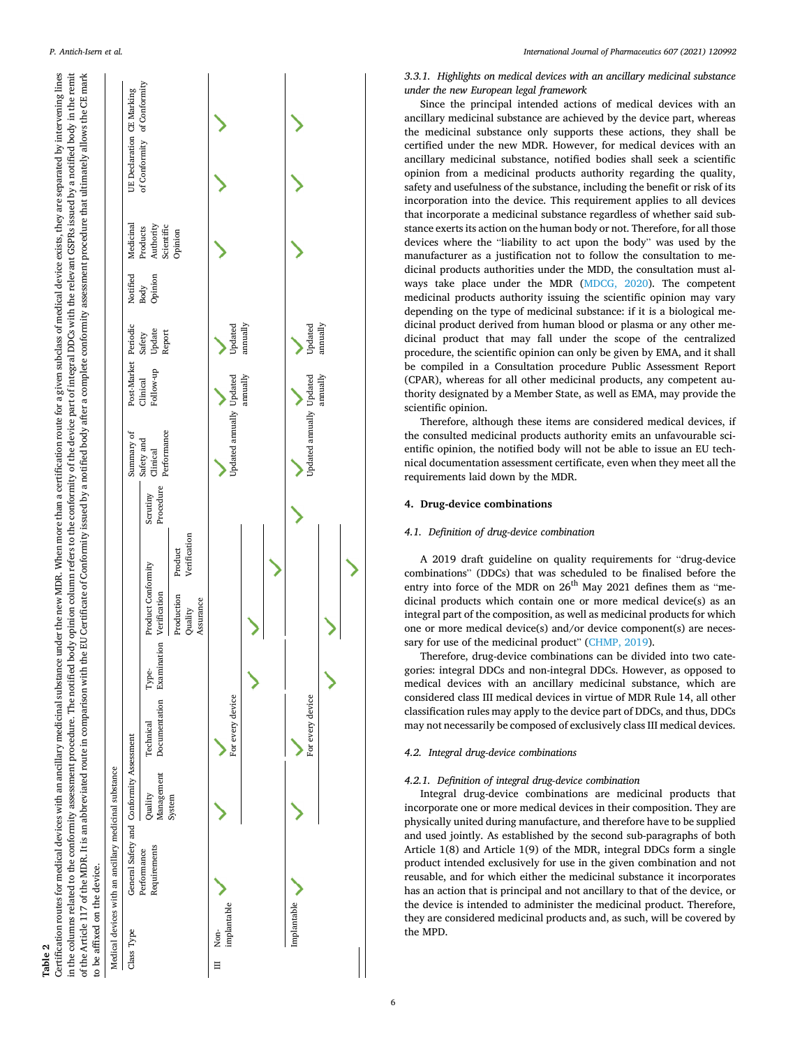| N      |               |
|--------|---------------|
| 읙      | ֪֚֡֝֬֝֬֝֬֝֬֝֬ |
| م<br>œ |               |
| ⊢      |               |

Certification routes for medical devices with an ancillary medicinal substance under the new MDR. When more than a certification route for a given subclass of medical device exists, they are separated by intervening lines in the columns related to the conformity assessment procedure. The notified body opinion column refers to the conformity of the device part of integral DDCs with the relevant GSPRs issued by a notified body in the remit of the Article 117 of the MDR. It is an abbreviated route in comparison with the EU Certificate of Conformity issued by a notified body after a complete conformity assessment procedure that ultimately allows the CE mark Certification routes for medical devices with an ancillary medicinal substance under the new MDR. When more than a certification route for a given subclass of medical device exists, they are separated by intervening lines in the columns related to the conformity assessment procedure. The notified body opinion column refers to the conformity of the device part of integral DDCs with the relevant GSPRs issued by a notified body in the remit of the Article 117 of the MDR. It is an abbreviated route in comparison with the EU Certificate of Conformity issued by a notified body after a complete conformity assessment procedure that ultimately allows the CE mark to be affixed on the device. to be affixed on the device.

<span id="page-5-0"></span>*P. Antich-Isern et al.* 



*3.3.1. Highlights on medical devices with an ancillary medicinal substance under the new European legal framework* 

Since the principal intended actions of medical devices with an ancillary medicinal substance are achieved by the device part, whereas the medicinal substance only supports these actions, they shall be certified under the new MDR. However, for medical devices with an ancillary medicinal substance, notified bodies shall seek a scientific opinion from a medicinal products authority regarding the quality, safety and usefulness of the substance, including the benefit or risk of its incorporation into the device. This requirement applies to all devices that incorporate a medicinal substance regardless of whether said substance exerts its action on the human body or not. Therefore, for all those devices where the "liability to act upon the body" was used by the manufacturer as a justification not to follow the consultation to medicinal products authorities under the MDD, the consultation must always take place under the MDR ([MDCG, 2020](#page-15-0)). The competent medicinal products authority issuing the scientific opinion may vary depending on the type of medicinal substance: if it is a biological medicinal product derived from human blood or plasma or any other medicinal product that may fall under the scope of the centralized procedure, the scientific opinion can only be given by EMA, and it shall be compiled in a Consultation procedure Public Assessment Report (CPAR), whereas for all other medicinal products, any competent authority designated by a Member State, as well as EMA, may provide the scientific opinion.

Therefore, although these items are considered medical devices, if the consulted medicinal products authority emits an unfavourable scientific opinion, the notified body will not be able to issue an EU technical documentation assessment certificate, even when they meet all the requirements laid down by the MDR.

#### **4. Drug-device combinations**

#### *4.1. Definition of drug-device combination*

A 2019 draft guideline on quality requirements for "drug-device combinations" (DDCs) that was scheduled to be finalised before the entry into force of the MDR on  $26<sup>th</sup>$  May 2021 defines them as "medicinal products which contain one or more medical device(s) as an integral part of the composition, as well as medicinal products for which one or more medical device(s) and/or device component(s) are neces-sary for use of the medicinal product" [\(CHMP, 2019](#page-13-0)).

Therefore, drug-device combinations can be divided into two categories: integral DDCs and non-integral DDCs. However, as opposed to medical devices with an ancillary medicinal substance, which are considered class III medical devices in virtue of MDR Rule 14, all other classification rules may apply to the device part of DDCs, and thus, DDCs may not necessarily be composed of exclusively class III medical devices.

#### *4.2. Integral drug-device combinations*

### *4.2.1. Definition of integral drug-device combination*

Integral drug-device combinations are medicinal products that incorporate one or more medical devices in their composition. They are physically united during manufacture, and therefore have to be supplied and used jointly. As established by the second sub-paragraphs of both Article 1(8) and Article 1(9) of the MDR, integral DDCs form a single product intended exclusively for use in the given combination and not reusable, and for which either the medicinal substance it incorporates has an action that is principal and not ancillary to that of the device, or the device is intended to administer the medicinal product. Therefore, they are considered medicinal products and, as such, will be covered by the MPD.

ゝ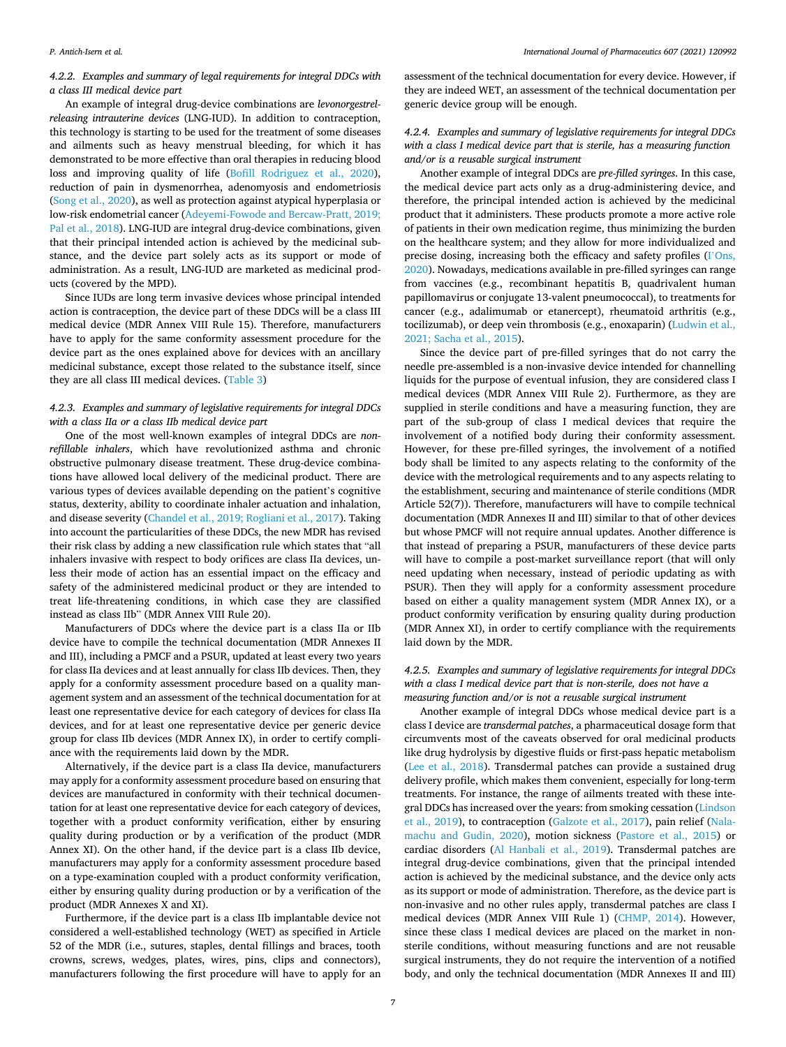*International Journal of Pharmaceutics 607 (2021) 120992*

*4.2.2. Examples and summary of legal requirements for integral DDCs with a class III medical device part* 

An example of integral drug-device combinations are *levonorgestrelreleasing intrauterine devices* (LNG-IUD). In addition to contraception, this technology is starting to be used for the treatment of some diseases and ailments such as heavy menstrual bleeding, for which it has demonstrated to be more effective than oral therapies in reducing blood loss and improving quality of life [\(Bofill Rodriguez et al., 2020](#page-13-0)), reduction of pain in dysmenorrhea, adenomyosis and endometriosis ([Song et al., 2020\)](#page-15-0), as well as protection against atypical hyperplasia or low-risk endometrial cancer [\(Adeyemi-Fowode and Bercaw-Pratt, 2019;](#page-13-0)  [Pal et al., 2018](#page-13-0)). LNG-IUD are integral drug-device combinations, given that their principal intended action is achieved by the medicinal substance, and the device part solely acts as its support or mode of administration. As a result, LNG-IUD are marketed as medicinal products (covered by the MPD).

Since IUDs are long term invasive devices whose principal intended action is contraception, the device part of these DDCs will be a class III medical device (MDR Annex VIII Rule 15). Therefore, manufacturers have to apply for the same conformity assessment procedure for the device part as the ones explained above for devices with an ancillary medicinal substance, except those related to the substance itself, since they are all class III medical devices. ([Table 3](#page-7-0))

# *4.2.3. Examples and summary of legislative requirements for integral DDCs with a class IIa or a class IIb medical device part*

One of the most well-known examples of integral DDCs are *nonrefillable inhalers*, which have revolutionized asthma and chronic obstructive pulmonary disease treatment. These drug-device combinations have allowed local delivery of the medicinal product. There are various types of devices available depending on the patient's cognitive status, dexterity, ability to coordinate inhaler actuation and inhalation, and disease severity [\(Chandel et al., 2019; Rogliani et al., 2017](#page-13-0)). Taking into account the particularities of these DDCs, the new MDR has revised their risk class by adding a new classification rule which states that "all inhalers invasive with respect to body orifices are class IIa devices, unless their mode of action has an essential impact on the efficacy and safety of the administered medicinal product or they are intended to treat life-threatening conditions, in which case they are classified instead as class IIb" (MDR Annex VIII Rule 20).

Manufacturers of DDCs where the device part is a class IIa or IIb device have to compile the technical documentation (MDR Annexes II and III), including a PMCF and a PSUR, updated at least every two years for class IIa devices and at least annually for class IIb devices. Then, they apply for a conformity assessment procedure based on a quality management system and an assessment of the technical documentation for at least one representative device for each category of devices for class IIa devices, and for at least one representative device per generic device group for class IIb devices (MDR Annex IX), in order to certify compliance with the requirements laid down by the MDR.

Alternatively, if the device part is a class IIa device, manufacturers may apply for a conformity assessment procedure based on ensuring that devices are manufactured in conformity with their technical documentation for at least one representative device for each category of devices, together with a product conformity verification, either by ensuring quality during production or by a verification of the product (MDR Annex XI). On the other hand, if the device part is a class IIb device, manufacturers may apply for a conformity assessment procedure based on a type-examination coupled with a product conformity verification, either by ensuring quality during production or by a verification of the product (MDR Annexes X and XI).

Furthermore, if the device part is a class IIb implantable device not considered a well-established technology (WET) as specified in Article 52 of the MDR (i.e., sutures, staples, dental fillings and braces, tooth crowns, screws, wedges, plates, wires, pins, clips and connectors), manufacturers following the first procedure will have to apply for an

assessment of the technical documentation for every device. However, if they are indeed WET, an assessment of the technical documentation per generic device group will be enough.

# *4.2.4. Examples and summary of legislative requirements for integral DDCs with a class I medical device part that is sterile, has a measuring function and/or is a reusable surgical instrument*

Another example of integral DDCs are *pre-filled syringes*. In this case, the medical device part acts only as a drug-administering device, and therefore, the principal intended action is achieved by the medicinal product that it administers. These products promote a more active role of patients in their own medication regime, thus minimizing the burden on the healthcare system; and they allow for more individualized and precise dosing, increasing both the efficacy and safety profiles (I'[Ons,](#page-14-0)  [2020\)](#page-14-0). Nowadays, medications available in pre-filled syringes can range from vaccines (e.g., recombinant hepatitis B, quadrivalent human papillomavirus or conjugate 13-valent pneumococcal), to treatments for cancer (e.g., adalimumab or etanercept), rheumatoid arthritis (e.g., tocilizumab), or deep vein thrombosis (e.g., enoxaparin) [\(Ludwin et al.,](#page-15-0)  [2021; Sacha et al., 2015](#page-15-0)).

Since the device part of pre-filled syringes that do not carry the needle pre-assembled is a non-invasive device intended for channelling liquids for the purpose of eventual infusion, they are considered class I medical devices (MDR Annex VIII Rule 2). Furthermore, as they are supplied in sterile conditions and have a measuring function, they are part of the sub-group of class I medical devices that require the involvement of a notified body during their conformity assessment. However, for these pre-filled syringes, the involvement of a notified body shall be limited to any aspects relating to the conformity of the device with the metrological requirements and to any aspects relating to the establishment, securing and maintenance of sterile conditions (MDR Article 52(7)). Therefore, manufacturers will have to compile technical documentation (MDR Annexes II and III) similar to that of other devices but whose PMCF will not require annual updates. Another difference is that instead of preparing a PSUR, manufacturers of these device parts will have to compile a post-market surveillance report (that will only need updating when necessary, instead of periodic updating as with PSUR). Then they will apply for a conformity assessment procedure based on either a quality management system (MDR Annex IX), or a product conformity verification by ensuring quality during production (MDR Annex XI), in order to certify compliance with the requirements laid down by the MDR.

# *4.2.5. Examples and summary of legislative requirements for integral DDCs with a class I medical device part that is non-sterile, does not have a measuring function and/or is not a reusable surgical instrument*

Another example of integral DDCs whose medical device part is a class I device are *transdermal patches*, a pharmaceutical dosage form that circumvents most of the caveats observed for oral medicinal products like drug hydrolysis by digestive fluids or first-pass hepatic metabolism ([Lee et al., 2018\)](#page-14-0). Transdermal patches can provide a sustained drug delivery profile, which makes them convenient, especially for long-term treatments. For instance, the range of ailments treated with these integral DDCs has increased over the years: from smoking cessation ([Lindson](#page-14-0)  [et al., 2019](#page-14-0)), to contraception [\(Galzote et al., 2017](#page-14-0)), pain relief ([Nala](#page-15-0)[machu and Gudin, 2020\)](#page-15-0), motion sickness [\(Pastore et al., 2015](#page-15-0)) or cardiac disorders ([Al Hanbali et al., 2019\)](#page-13-0). Transdermal patches are integral drug-device combinations, given that the principal intended action is achieved by the medicinal substance, and the device only acts as its support or mode of administration. Therefore, as the device part is non-invasive and no other rules apply, transdermal patches are class I medical devices (MDR Annex VIII Rule 1) ([CHMP, 2014\)](#page-13-0). However, since these class I medical devices are placed on the market in nonsterile conditions, without measuring functions and are not reusable surgical instruments, they do not require the intervention of a notified body, and only the technical documentation (MDR Annexes II and III)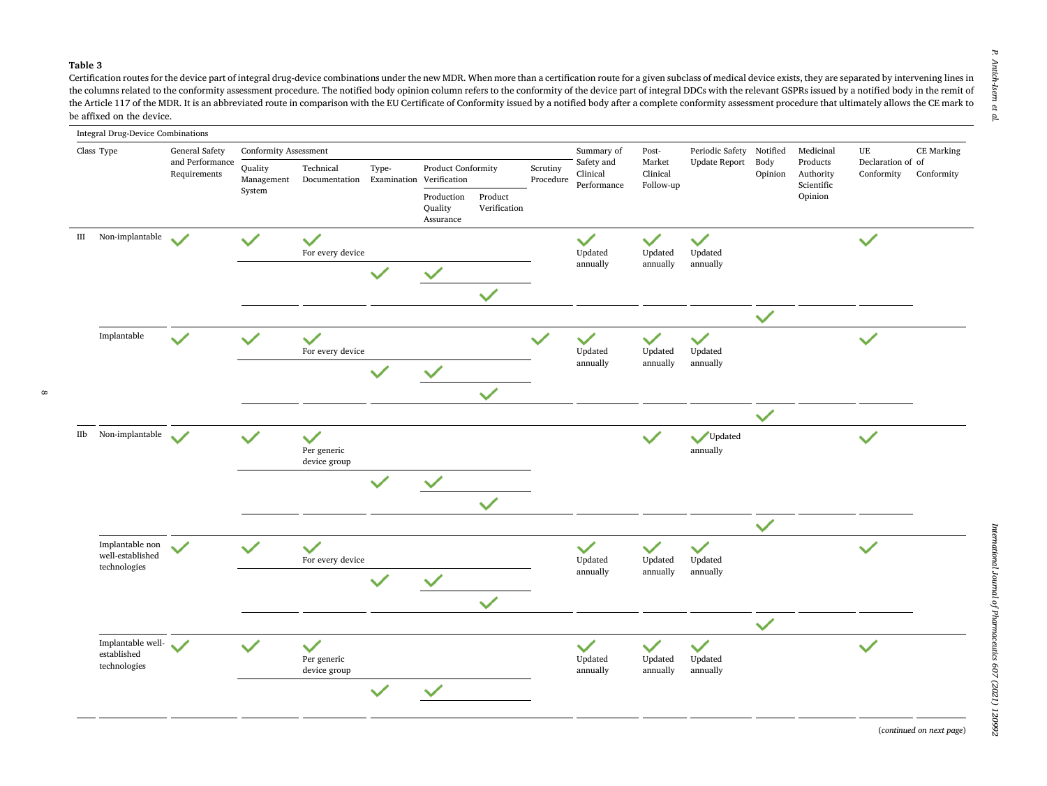#### <span id="page-7-0"></span>**Table 3**

 $\infty$ 

Certification routes for the device part of integral drug-device combinations under the new MDR. When more than a certification route for a given subclass of medical device exists, they are separated by intervening lines in the columns related to the conformity assessment procedure. The notified body opinion column refers to the conformity of the device part of integral DDCs with the relevant GSPRs issued by a notified body in the remit of the Article 117 of the MDR. It is an abbreviated route in comparison with the EU Certificate of Conformity issued by a notified body after a complete conformity assessment procedure that ultimately allows the CE mark to be affixed on the device.



Р. *P. Antich-Isern et al.* Antich-Isern  $\overline{a}$  $\mathbf{p}$ 

(*continued on next page*)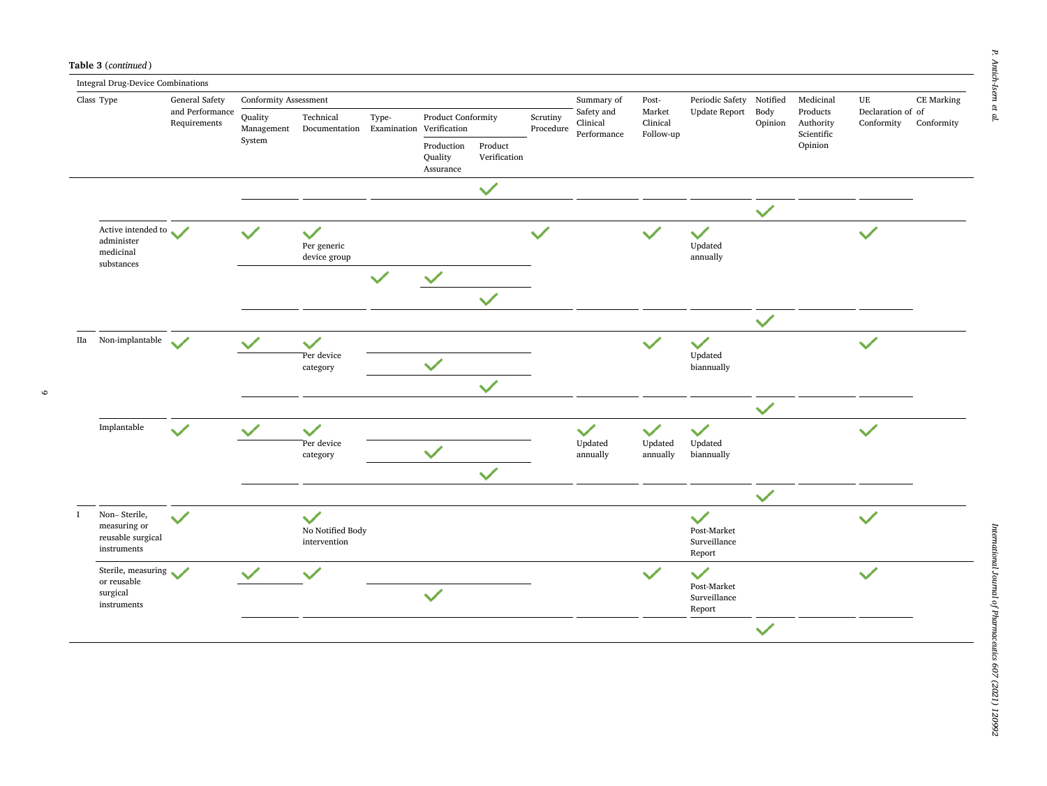$\circ$ 

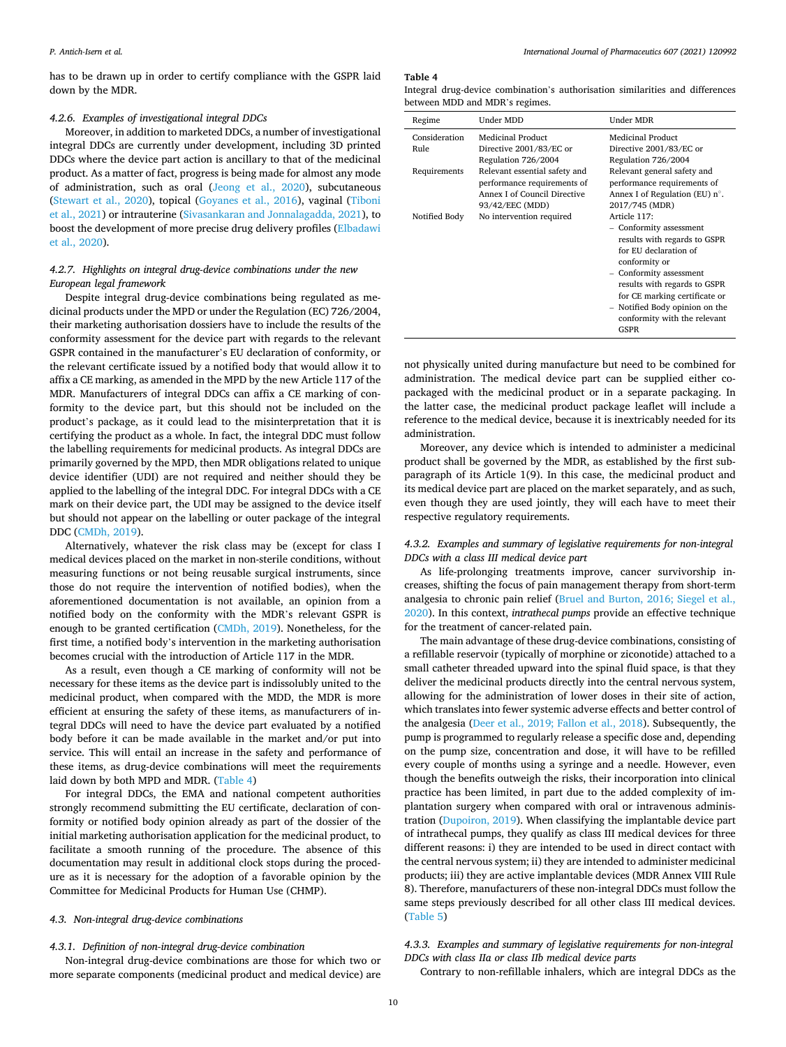has to be drawn up in order to certify compliance with the GSPR laid down by the MDR.

#### *4.2.6. Examples of investigational integral DDCs*

Moreover, in addition to marketed DDCs, a number of investigational integral DDCs are currently under development, including 3D printed DDCs where the device part action is ancillary to that of the medicinal product. As a matter of fact, progress is being made for almost any mode of administration, such as oral [\(Jeong et al., 2020](#page-14-0)), subcutaneous ([Stewart et al., 2020](#page-15-0)), topical ([Goyanes et al., 2016](#page-14-0)), vaginal ([Tiboni](#page-16-0)  [et al., 2021](#page-16-0)) or intrauterine [\(Sivasankaran and Jonnalagadda, 2021](#page-15-0)), to boost the development of more precise drug delivery profiles ([Elbadawi](#page-14-0)  [et al., 2020\)](#page-14-0).

# *4.2.7. Highlights on integral drug-device combinations under the new European legal framework*

Despite integral drug-device combinations being regulated as medicinal products under the MPD or under the Regulation (EC) 726/2004, their marketing authorisation dossiers have to include the results of the conformity assessment for the device part with regards to the relevant GSPR contained in the manufacturer's EU declaration of conformity, or the relevant certificate issued by a notified body that would allow it to affix a CE marking, as amended in the MPD by the new Article 117 of the MDR. Manufacturers of integral DDCs can affix a CE marking of conformity to the device part, but this should not be included on the product's package, as it could lead to the misinterpretation that it is certifying the product as a whole. In fact, the integral DDC must follow the labelling requirements for medicinal products. As integral DDCs are primarily governed by the MPD, then MDR obligations related to unique device identifier (UDI) are not required and neither should they be applied to the labelling of the integral DDC. For integral DDCs with a CE mark on their device part, the UDI may be assigned to the device itself but should not appear on the labelling or outer package of the integral DDC [\(CMDh, 2019\)](#page-13-0).

Alternatively, whatever the risk class may be (except for class I medical devices placed on the market in non-sterile conditions, without measuring functions or not being reusable surgical instruments, since those do not require the intervention of notified bodies), when the aforementioned documentation is not available, an opinion from a notified body on the conformity with the MDR's relevant GSPR is enough to be granted certification ([CMDh, 2019\)](#page-13-0). Nonetheless, for the first time, a notified body's intervention in the marketing authorisation becomes crucial with the introduction of Article 117 in the MDR.

As a result, even though a CE marking of conformity will not be necessary for these items as the device part is indissolubly united to the medicinal product, when compared with the MDD, the MDR is more efficient at ensuring the safety of these items, as manufacturers of integral DDCs will need to have the device part evaluated by a notified body before it can be made available in the market and/or put into service. This will entail an increase in the safety and performance of these items, as drug-device combinations will meet the requirements laid down by both MPD and MDR. (Table 4)

For integral DDCs, the EMA and national competent authorities strongly recommend submitting the EU certificate, declaration of conformity or notified body opinion already as part of the dossier of the initial marketing authorisation application for the medicinal product, to facilitate a smooth running of the procedure. The absence of this documentation may result in additional clock stops during the procedure as it is necessary for the adoption of a favorable opinion by the Committee for Medicinal Products for Human Use (CHMP).

## *4.3. Non-integral drug-device combinations*

# *4.3.1. Definition of non-integral drug-device combination*

Non-integral drug-device combinations are those for which two or more separate components (medicinal product and medical device) are

#### **Table 4**

|  | Integral drug-device combination's authorisation similarities and differences |  |  |
|--|-------------------------------------------------------------------------------|--|--|
|  | between MDD and MDR's regimes.                                                |  |  |

| Regime        | Under MDD                                                                                                      | Under MDR                                                                                                                                                                                                                                                                               |
|---------------|----------------------------------------------------------------------------------------------------------------|-----------------------------------------------------------------------------------------------------------------------------------------------------------------------------------------------------------------------------------------------------------------------------------------|
| Consideration | Medicinal Product                                                                                              | Medicinal Product                                                                                                                                                                                                                                                                       |
| Rule          | Directive 2001/83/EC or<br>Regulation 726/2004                                                                 | Directive 2001/83/EC or<br>Regulation 726/2004                                                                                                                                                                                                                                          |
| Requirements  | Relevant essential safety and<br>performance requirements of<br>Annex Lof Council Directive<br>93/42/EEC (MDD) | Relevant general safety and<br>performance requirements of<br>Annex I of Regulation (EU) $n^{\circ}$ .<br>2017/745 (MDR)                                                                                                                                                                |
| Notified Body | No intervention required                                                                                       | Article 117:<br>- Conformity assessment<br>results with regards to GSPR<br>for EU declaration of<br>conformity or<br>- Conformity assessment<br>results with regards to GSPR<br>for CE marking certificate or<br>- Notified Body opinion on the<br>conformity with the relevant<br>GSPR |

not physically united during manufacture but need to be combined for administration. The medical device part can be supplied either copackaged with the medicinal product or in a separate packaging. In the latter case, the medicinal product package leaflet will include a reference to the medical device, because it is inextricably needed for its administration.

Moreover, any device which is intended to administer a medicinal product shall be governed by the MDR, as established by the first subparagraph of its Article 1(9). In this case, the medicinal product and its medical device part are placed on the market separately, and as such, even though they are used jointly, they will each have to meet their respective regulatory requirements.

# *4.3.2. Examples and summary of legislative requirements for non-integral DDCs with a class III medical device part*

As life-prolonging treatments improve, cancer survivorship increases, shifting the focus of pain management therapy from short-term analgesia to chronic pain relief ([Bruel and Burton, 2016; Siegel et al.,](#page-13-0)  [2020\)](#page-13-0). In this context, *intrathecal pumps* provide an effective technique for the treatment of cancer-related pain.

The main advantage of these drug-device combinations, consisting of a refillable reservoir (typically of morphine or ziconotide) attached to a small catheter threaded upward into the spinal fluid space, is that they deliver the medicinal products directly into the central nervous system, allowing for the administration of lower doses in their site of action, which translates into fewer systemic adverse effects and better control of the analgesia [\(Deer et al., 2019; Fallon et al., 2018](#page-14-0)). Subsequently, the pump is programmed to regularly release a specific dose and, depending on the pump size, concentration and dose, it will have to be refilled every couple of months using a syringe and a needle. However, even though the benefits outweigh the risks, their incorporation into clinical practice has been limited, in part due to the added complexity of implantation surgery when compared with oral or intravenous administration ([Dupoiron, 2019](#page-14-0)). When classifying the implantable device part of intrathecal pumps, they qualify as class III medical devices for three different reasons: i) they are intended to be used in direct contact with the central nervous system; ii) they are intended to administer medicinal products; iii) they are active implantable devices (MDR Annex VIII Rule 8). Therefore, manufacturers of these non-integral DDCs must follow the same steps previously described for all other class III medical devices. ([Table 5](#page-10-0))

# *4.3.3. Examples and summary of legislative requirements for non-integral DDCs with class IIa or class IIb medical device parts*

Contrary to non-refillable inhalers, which are integral DDCs as the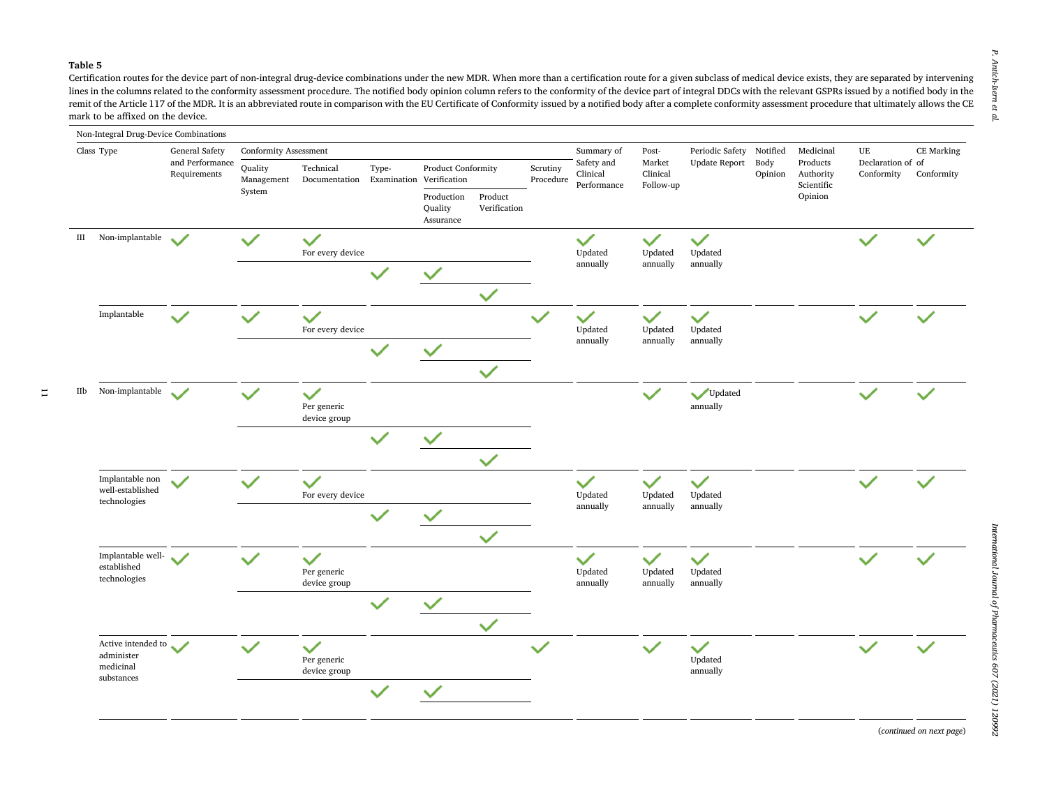#### <span id="page-10-0"></span>**Table 5**

 $\overline{1}$ 

Certification routes for the device part of non-integral drug-device combinations under the new MDR. When more than a certification route for a given subclass of medical device exists, they are separated by intervening lines in the columns related to the conformity assessment procedure. The notified body opinion column refers to the conformity of the device part of integral DDCs with the relevant GSPRs issued by a notified body in the remit of the Article 117 of the MDR. It is an abbreviated route in comparison with the EU Certificate of Conformity issued by a notified body after a complete conformity assessment procedure that ultimately allows the CE mark to be affixed on the device.



(*continued on next page*)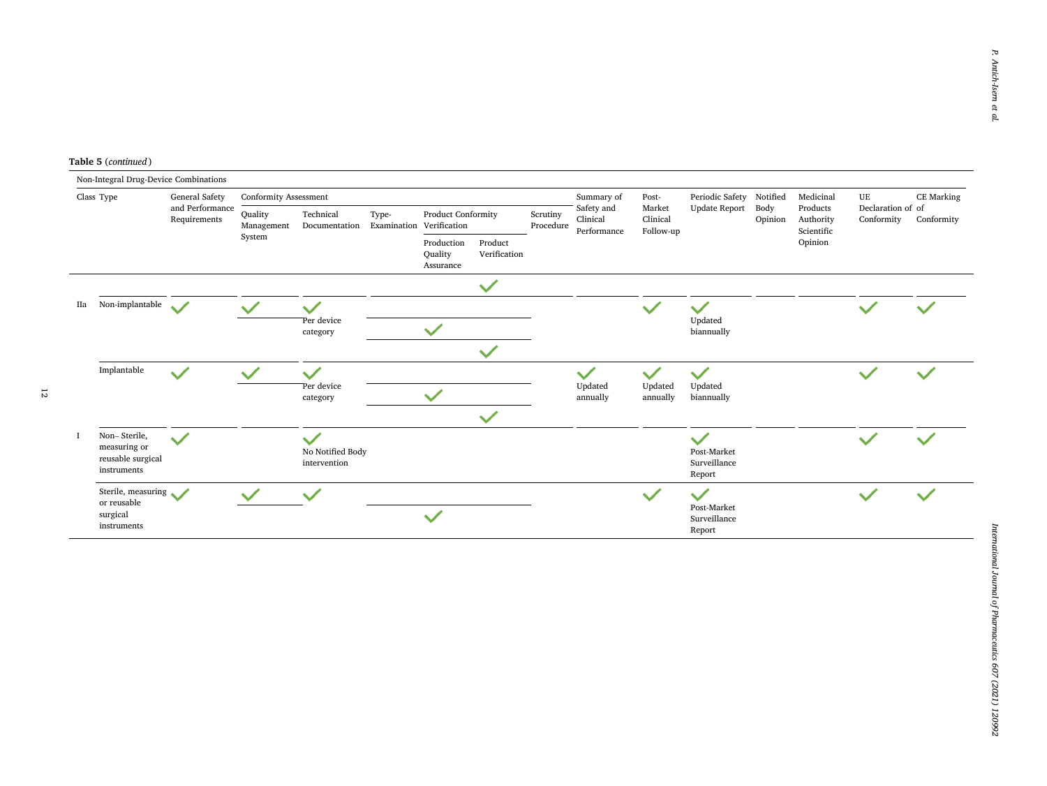**Table 5** (*continued* )

|            | Non-Integral Drug-Device Combinations                            |                |                              |                                                  |                                    |                         |              |                       |                                       |                                 |                                                       |                 |                                                |                                 |            |
|------------|------------------------------------------------------------------|----------------|------------------------------|--------------------------------------------------|------------------------------------|-------------------------|--------------|-----------------------|---------------------------------------|---------------------------------|-------------------------------------------------------|-----------------|------------------------------------------------|---------------------------------|------------|
| Class Type |                                                                  | General Safety | <b>Conformity Assessment</b> |                                                  |                                    |                         |              | Summary of            | Post-                                 | Periodic Safety                 | Notified                                              | Medicinal       | UE                                             | CE Marking                      |            |
|            | and Performance<br>Requirements                                  |                | Quality<br>Management        | Technical<br>Documentation                       | Type-<br>Examination Verification  | Product Conformity      |              | Scrutiny<br>Procedure | Safety and<br>Clinical<br>Performance | Market<br>Clinical<br>Follow-up | <b>Update Report</b>                                  | Body<br>Opinion | Products<br>Authority<br>Scientific<br>Opinion | Declaration of of<br>Conformity | Conformity |
|            |                                                                  | System         |                              |                                                  | Production<br>Quality<br>Assurance | Product<br>Verification |              |                       |                                       |                                 |                                                       |                 |                                                |                                 |            |
|            |                                                                  |                |                              |                                                  |                                    |                         | $\checkmark$ |                       |                                       |                                 |                                                       |                 |                                                |                                 |            |
| IIa        | Non-implantable<br>$\checkmark$                                  |                |                              | Per device<br>category                           |                                    |                         |              |                       |                                       |                                 | Updated<br>biannually                                 |                 |                                                |                                 |            |
|            |                                                                  |                |                              |                                                  |                                    |                         |              |                       |                                       |                                 |                                                       |                 |                                                |                                 |            |
|            |                                                                  |                |                              |                                                  |                                    |                         | $\checkmark$ |                       |                                       |                                 |                                                       |                 |                                                |                                 |            |
|            | Implantable                                                      | $\checkmark$   | $\checkmark$                 |                                                  |                                    |                         |              |                       | $\checkmark$                          | $\checkmark$                    | $\checkmark$                                          |                 |                                                | $\checkmark$                    |            |
|            |                                                                  |                |                              | Per device<br>category                           |                                    |                         |              | Updated<br>annually   | Updated<br>annually                   | Updated<br>biannually           |                                                       |                 |                                                |                                 |            |
|            |                                                                  |                |                              |                                                  |                                    |                         | $\checkmark$ |                       |                                       |                                 |                                                       |                 |                                                |                                 |            |
|            | Non-Sterile,<br>measuring or<br>reusable surgical<br>instruments | $\checkmark$   |                              | $\checkmark$<br>No Notified Body<br>intervention |                                    |                         |              |                       |                                       |                                 | $\checkmark$<br>Post-Market<br>Surveillance<br>Report |                 |                                                | $\checkmark$                    |            |
|            | Sterile, measuring<br>or reusable                                |                |                              |                                                  |                                    |                         |              |                       |                                       | $\checkmark$                    | $\checkmark$                                          |                 |                                                |                                 |            |
|            | surgical<br>instruments                                          |                |                              |                                                  |                                    | $\checkmark$            |              |                       |                                       |                                 | Post-Market<br>Surveillance<br>Report                 |                 |                                                |                                 |            |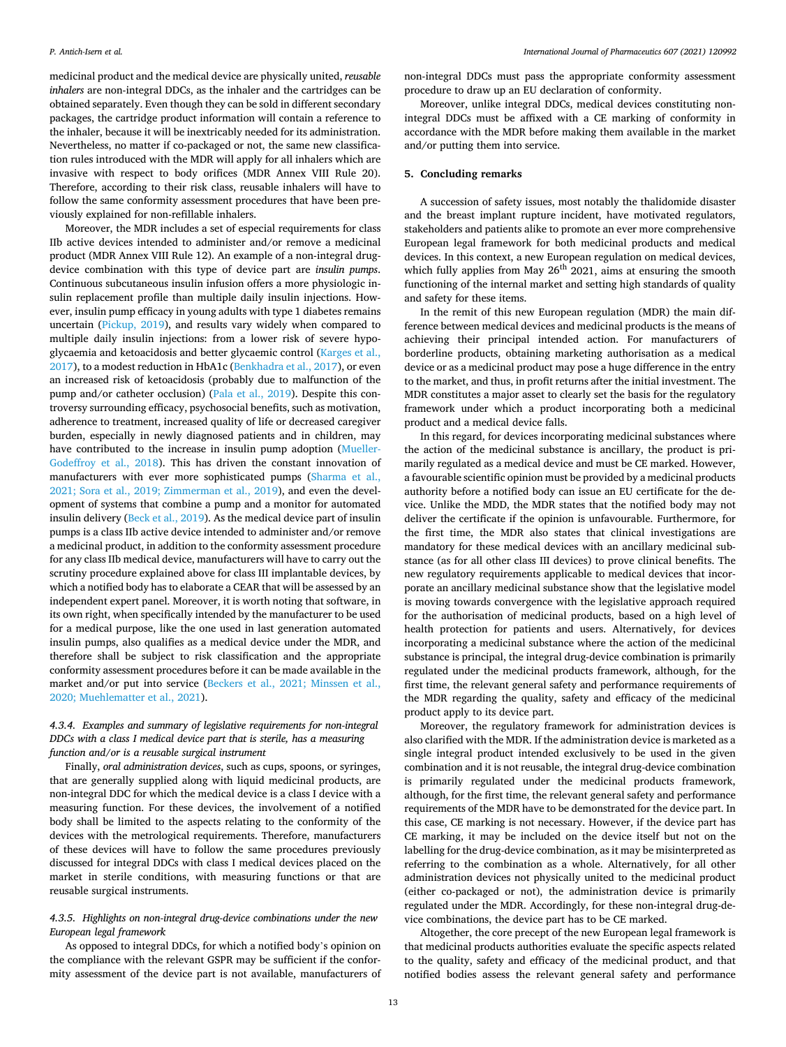medicinal product and the medical device are physically united, *reusable inhalers* are non-integral DDCs, as the inhaler and the cartridges can be obtained separately. Even though they can be sold in different secondary packages, the cartridge product information will contain a reference to the inhaler, because it will be inextricably needed for its administration. Nevertheless, no matter if co-packaged or not, the same new classification rules introduced with the MDR will apply for all inhalers which are invasive with respect to body orifices (MDR Annex VIII Rule 20). Therefore, according to their risk class, reusable inhalers will have to follow the same conformity assessment procedures that have been previously explained for non-refillable inhalers.

Moreover, the MDR includes a set of especial requirements for class IIb active devices intended to administer and/or remove a medicinal product (MDR Annex VIII Rule 12). An example of a non-integral drugdevice combination with this type of device part are *insulin pumps*. Continuous subcutaneous insulin infusion offers a more physiologic insulin replacement profile than multiple daily insulin injections. However, insulin pump efficacy in young adults with type 1 diabetes remains uncertain [\(Pickup, 2019\)](#page-15-0), and results vary widely when compared to multiple daily insulin injections: from a lower risk of severe hypoglycaemia and ketoacidosis and better glycaemic control ([Karges et al.,](#page-14-0)  [2017\)](#page-14-0), to a modest reduction in HbA1c [\(Benkhadra et al., 2017\)](#page-13-0), or even an increased risk of ketoacidosis (probably due to malfunction of the pump and/or catheter occlusion) ([Pala et al., 2019\)](#page-15-0). Despite this controversy surrounding efficacy, psychosocial benefits, such as motivation, adherence to treatment, increased quality of life or decreased caregiver burden, especially in newly diagnosed patients and in children, may have contributed to the increase in insulin pump adoption ([Mueller-](#page-15-0)[Godeffroy et al., 2018](#page-15-0)). This has driven the constant innovation of manufacturers with ever more sophisticated pumps ([Sharma et al.,](#page-15-0)  [2021; Sora et al., 2019; Zimmerman et al., 2019\)](#page-15-0), and even the development of systems that combine a pump and a monitor for automated insulin delivery ([Beck et al., 2019\)](#page-13-0). As the medical device part of insulin pumps is a class IIb active device intended to administer and/or remove a medicinal product, in addition to the conformity assessment procedure for any class IIb medical device, manufacturers will have to carry out the scrutiny procedure explained above for class III implantable devices, by which a notified body has to elaborate a CEAR that will be assessed by an independent expert panel. Moreover, it is worth noting that software, in its own right, when specifically intended by the manufacturer to be used for a medical purpose, like the one used in last generation automated insulin pumps, also qualifies as a medical device under the MDR, and therefore shall be subject to risk classification and the appropriate conformity assessment procedures before it can be made available in the market and/or put into service [\(Beckers et al., 2021; Minssen et al.,](#page-13-0)  [2020; Muehlematter et al., 2021](#page-13-0)).

# *4.3.4. Examples and summary of legislative requirements for non-integral DDCs with a class I medical device part that is sterile, has a measuring function and/or is a reusable surgical instrument*

Finally, *oral administration devices*, such as cups, spoons, or syringes, that are generally supplied along with liquid medicinal products, are non-integral DDC for which the medical device is a class I device with a measuring function. For these devices, the involvement of a notified body shall be limited to the aspects relating to the conformity of the devices with the metrological requirements. Therefore, manufacturers of these devices will have to follow the same procedures previously discussed for integral DDCs with class I medical devices placed on the market in sterile conditions, with measuring functions or that are reusable surgical instruments.

# *4.3.5. Highlights on non-integral drug-device combinations under the new European legal framework*

As opposed to integral DDCs, for which a notified body's opinion on the compliance with the relevant GSPR may be sufficient if the conformity assessment of the device part is not available, manufacturers of non-integral DDCs must pass the appropriate conformity assessment procedure to draw up an EU declaration of conformity.

Moreover, unlike integral DDCs, medical devices constituting nonintegral DDCs must be affixed with a CE marking of conformity in accordance with the MDR before making them available in the market and/or putting them into service.

# **5. Concluding remarks**

A succession of safety issues, most notably the thalidomide disaster and the breast implant rupture incident, have motivated regulators, stakeholders and patients alike to promote an ever more comprehensive European legal framework for both medicinal products and medical devices. In this context, a new European regulation on medical devices, which fully applies from May  $26^{th}$  2021, aims at ensuring the smooth functioning of the internal market and setting high standards of quality and safety for these items.

In the remit of this new European regulation (MDR) the main difference between medical devices and medicinal products is the means of achieving their principal intended action. For manufacturers of borderline products, obtaining marketing authorisation as a medical device or as a medicinal product may pose a huge difference in the entry to the market, and thus, in profit returns after the initial investment. The MDR constitutes a major asset to clearly set the basis for the regulatory framework under which a product incorporating both a medicinal product and a medical device falls.

In this regard, for devices incorporating medicinal substances where the action of the medicinal substance is ancillary, the product is primarily regulated as a medical device and must be CE marked. However, a favourable scientific opinion must be provided by a medicinal products authority before a notified body can issue an EU certificate for the device. Unlike the MDD, the MDR states that the notified body may not deliver the certificate if the opinion is unfavourable. Furthermore, for the first time, the MDR also states that clinical investigations are mandatory for these medical devices with an ancillary medicinal substance (as for all other class III devices) to prove clinical benefits. The new regulatory requirements applicable to medical devices that incorporate an ancillary medicinal substance show that the legislative model is moving towards convergence with the legislative approach required for the authorisation of medicinal products, based on a high level of health protection for patients and users. Alternatively, for devices incorporating a medicinal substance where the action of the medicinal substance is principal, the integral drug-device combination is primarily regulated under the medicinal products framework, although, for the first time, the relevant general safety and performance requirements of the MDR regarding the quality, safety and efficacy of the medicinal product apply to its device part.

Moreover, the regulatory framework for administration devices is also clarified with the MDR. If the administration device is marketed as a single integral product intended exclusively to be used in the given combination and it is not reusable, the integral drug-device combination is primarily regulated under the medicinal products framework, although, for the first time, the relevant general safety and performance requirements of the MDR have to be demonstrated for the device part. In this case, CE marking is not necessary. However, if the device part has CE marking, it may be included on the device itself but not on the labelling for the drug-device combination, as it may be misinterpreted as referring to the combination as a whole. Alternatively, for all other administration devices not physically united to the medicinal product (either co-packaged or not), the administration device is primarily regulated under the MDR. Accordingly, for these non-integral drug-device combinations, the device part has to be CE marked.

Altogether, the core precept of the new European legal framework is that medicinal products authorities evaluate the specific aspects related to the quality, safety and efficacy of the medicinal product, and that notified bodies assess the relevant general safety and performance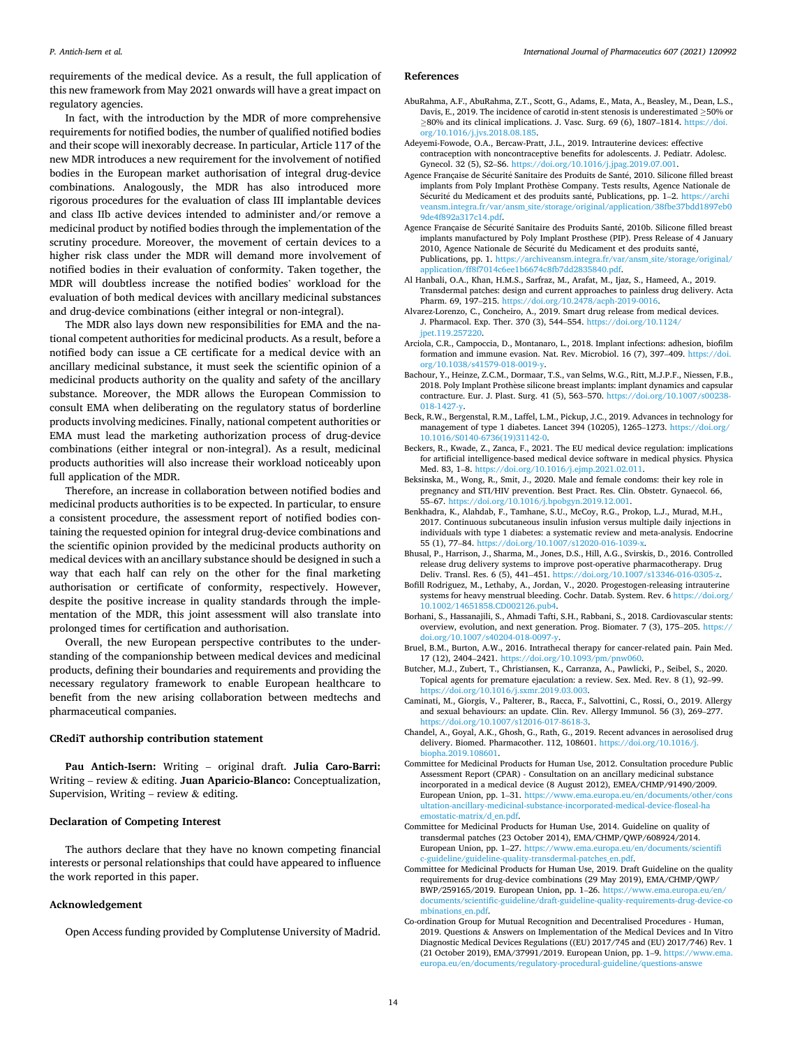*International Journal of Pharmaceutics 607 (2021) 120992*

<span id="page-13-0"></span>requirements of the medical device. As a result, the full application of this new framework from May 2021 onwards will have a great impact on regulatory agencies.

In fact, with the introduction by the MDR of more comprehensive requirements for notified bodies, the number of qualified notified bodies and their scope will inexorably decrease. In particular, Article 117 of the new MDR introduces a new requirement for the involvement of notified bodies in the European market authorisation of integral drug-device combinations. Analogously, the MDR has also introduced more rigorous procedures for the evaluation of class III implantable devices and class IIb active devices intended to administer and/or remove a medicinal product by notified bodies through the implementation of the scrutiny procedure. Moreover, the movement of certain devices to a higher risk class under the MDR will demand more involvement of notified bodies in their evaluation of conformity. Taken together, the MDR will doubtless increase the notified bodies' workload for the evaluation of both medical devices with ancillary medicinal substances and drug-device combinations (either integral or non-integral).

The MDR also lays down new responsibilities for EMA and the national competent authorities for medicinal products. As a result, before a notified body can issue a CE certificate for a medical device with an ancillary medicinal substance, it must seek the scientific opinion of a medicinal products authority on the quality and safety of the ancillary substance. Moreover, the MDR allows the European Commission to consult EMA when deliberating on the regulatory status of borderline products involving medicines. Finally, national competent authorities or EMA must lead the marketing authorization process of drug-device combinations (either integral or non-integral). As a result, medicinal products authorities will also increase their workload noticeably upon full application of the MDR.

Therefore, an increase in collaboration between notified bodies and medicinal products authorities is to be expected. In particular, to ensure a consistent procedure, the assessment report of notified bodies containing the requested opinion for integral drug-device combinations and the scientific opinion provided by the medicinal products authority on medical devices with an ancillary substance should be designed in such a way that each half can rely on the other for the final marketing authorisation or certificate of conformity, respectively. However, despite the positive increase in quality standards through the implementation of the MDR, this joint assessment will also translate into prolonged times for certification and authorisation.

Overall, the new European perspective contributes to the understanding of the companionship between medical devices and medicinal products, defining their boundaries and requirements and providing the necessary regulatory framework to enable European healthcare to benefit from the new arising collaboration between medtechs and pharmaceutical companies.

#### **CRediT authorship contribution statement**

**Pau Antich-Isern:** Writing – original draft. **Julia Caro-Barri:**  Writing – review & editing. **Juan Aparicio-Blanco:** Conceptualization, Supervision, Writing – review  $&$  editing.

# **Declaration of Competing Interest**

The authors declare that they have no known competing financial interests or personal relationships that could have appeared to influence the work reported in this paper.

# **Acknowledgement**

Open Access funding provided by Complutense University of Madrid.

#### **References**

- AbuRahma, A.F., AbuRahma, Z.T., Scott, G., Adams, E., Mata, A., Beasley, M., Dean, L.S., Davis, E., 2019. The incidence of carotid in-stent stenosis is underestimated ≥50% or ≥80% and its clinical implications. J. Vasc. Surg. 69 (6), 1807–1814. [https://doi.](https://doi.org/10.1016/j.jvs.2018.08.185)  [org/10.1016/j.jvs.2018.08.185](https://doi.org/10.1016/j.jvs.2018.08.185).
- Adeyemi-Fowode, O.A., Bercaw-Pratt, J.L., 2019. Intrauterine devices: effective contraception with noncontraceptive benefits for adolescents. J. Pediatr. Adolesc. Gynecol. 32 (5), S2–S6. [https://doi.org/10.1016/j.jpag.2019.07.001.](https://doi.org/10.1016/j.jpag.2019.07.001)
- Agence Française de Sécurité Sanitaire des Produits de Santé, 2010. Silicone filled breast implants from Poly Implant Prothèse Company. Tests results, Agence Nationale de Sécurité du Medicament et des produits santé, Publications, pp. 1–2. https://archi [veansm.integra.fr/var/ansm\\_site/storage/original/application/38fbe37bdd1897eb0](https://archiveansm.integra.fr/var/ansm_site/storage/original/application/38fbe37bdd1897eb09de4f892a317c14.pdf)  [9de4f892a317c14.pdf](https://archiveansm.integra.fr/var/ansm_site/storage/original/application/38fbe37bdd1897eb09de4f892a317c14.pdf).
- Agence Française de Sécurité Sanitaire des Produits Santé, 2010b. Silicone filled breast implants manufactured by Poly Implant Prosthese (PIP). Press Release of 4 January 2010, Agence Nationale de Sécurité du Medicament et des produits santé, Publications, pp. 1. [https://archiveansm.integra.fr/var/ansm\\_site/storage/original/](https://archiveansm.integra.fr/var/ansm_site/storage/original/application/ff8f7014c6ee1b6674c8fb7dd2835840.pdf) [application/ff8f7014c6ee1b6674c8fb7dd2835840.pdf.](https://archiveansm.integra.fr/var/ansm_site/storage/original/application/ff8f7014c6ee1b6674c8fb7dd2835840.pdf)
- Al Hanbali, O.A., Khan, H.M.S., Sarfraz, M., Arafat, M., Ijaz, S., Hameed, A., 2019. Transdermal patches: design and current approaches to painless drug delivery. Acta Pharm. 69, 197–215. [https://doi.org/10.2478/acph-2019-0016.](https://doi.org/10.2478/acph-2019-0016)
- Alvarez-Lorenzo, C., Concheiro, A., 2019. Smart drug release from medical devices. J. Pharmacol. Exp. Ther. 370 (3), 544–554. [https://doi.org/10.1124/](https://doi.org/10.1124/jpet.119.257220)  [jpet.119.257220](https://doi.org/10.1124/jpet.119.257220).
- Arciola, C.R., Campoccia, D., Montanaro, L., 2018. Implant infections: adhesion, biofilm formation and immune evasion. Nat. Rev. Microbiol. 16 (7), 397–409. [https://doi.](https://doi.org/10.1038/s41579-018-0019-y) [org/10.1038/s41579-018-0019-y.](https://doi.org/10.1038/s41579-018-0019-y)
- Bachour, Y., Heinze, Z.C.M., Dormaar, T.S., van Selms, W.G., Ritt, M.J.P.F., Niessen, F.B., 2018. Poly Implant Prothèse silicone breast implants: implant dynamics and capsular contracture. Eur. J. Plast. Surg. 41 (5), 563–570. [https://doi.org/10.1007/s00238-](https://doi.org/10.1007/s00238-018-1427-y) [018-1427-y](https://doi.org/10.1007/s00238-018-1427-y).
- Beck, R.W., Bergenstal, R.M., Laffel, L.M., Pickup, J.C., 2019. Advances in technology for management of type 1 diabetes. Lancet 394 (10205), 1265–1273. [https://doi.org/](https://doi.org/10.1016/S0140-6736(19)31142-0) [10.1016/S0140-6736\(19\)31142-0.](https://doi.org/10.1016/S0140-6736(19)31142-0)
- Beckers, R., Kwade, Z., Zanca, F., 2021. The EU medical device regulation: implications for artificial intelligence-based medical device software in medical physics. Physica Med. 83, 1–8. <https://doi.org/10.1016/j.ejmp.2021.02.011>.
- Beksinska, M., Wong, R., Smit, J., 2020. Male and female condoms: their key role in pregnancy and STI/HIV prevention. Best Pract. Res. Clin. Obstetr. Gynaecol. 66, 55–67. [https://doi.org/10.1016/j.bpobgyn.2019.12.001.](https://doi.org/10.1016/j.bpobgyn.2019.12.001)
- Benkhadra, K., Alahdab, F., Tamhane, S.U., McCoy, R.G., Prokop, L.J., Murad, M.H., 2017. Continuous subcutaneous insulin infusion versus multiple daily injections in individuals with type 1 diabetes: a systematic review and meta-analysis. Endocrine 55 (1), 77–84. https://doi.org/10.1007/s12020-016-1039-x. s://doi.org/10.1007/s12020-016-1039-x.
- Bhusal, P., Harrison, J., Sharma, M., Jones, D.S., Hill, A.G., Svirskis, D., 2016. Controlled release drug delivery systems to improve post-operative pharmacotherapy. Drug Deliv. Transl. Res. 6 (5), 441-451. https://doi.org/10.1007/s13346-016-0305-
- Bofill Rodriguez, M., Lethaby, A., Jordan, V., 2020. Progestogen-releasing intrauterine systems for heavy menstrual bleeding. Cochr. Datab. System. Rev. 6 https://doi.org/ [10.1002/14651858.CD002126.pub4.](https://doi.org/10.1002/14651858.CD002126.pub4)
- Borhani, S., Hassanajili, S., Ahmadi Tafti, S.H., Rabbani, S., 2018. Cardiovascular stents: overview, evolution, and next generation. Prog. Biomater. 7 (3), 175–205. [https://](https://doi.org/10.1007/s40204-018-0097-y) [doi.org/10.1007/s40204-018-0097-y](https://doi.org/10.1007/s40204-018-0097-y).
- Bruel, B.M., Burton, A.W., 2016. Intrathecal therapy for cancer-related pain. Pain Med. 17 (12), 2404–2421. <https://doi.org/10.1093/pm/pnw060>.
- Butcher, M.J., Zubert, T., Christiansen, K., Carranza, A., Pawlicki, P., Seibel, S., 2020. Topical agents for premature ejaculation: a review. Sex. Med. Rev. 8 (1), 92–99. <https://doi.org/10.1016/j.sxmr.2019.03.003>.
- Caminati, M., Giorgis, V., Palterer, B., Racca, F., Salvottini, C., Rossi, O., 2019. Allergy and sexual behaviours: an update. Clin. Rev. Allergy Immunol. 56 (3), 269–277. [https://doi.org/10.1007/s12016-017-8618-3.](https://doi.org/10.1007/s12016-017-8618-3)
- Chandel, A., Goyal, A.K., Ghosh, G., Rath, G., 2019. Recent advances in aerosolised drug delivery. Biomed. Pharmacother. 112, 108601. [https://doi.org/10.1016/j.](https://doi.org/10.1016/j.biopha.2019.108601)  [biopha.2019.108601](https://doi.org/10.1016/j.biopha.2019.108601).
- Committee for Medicinal Products for Human Use, 2012. Consultation procedure Public Assessment Report (CPAR) - Consultation on an ancillary medicinal substance incorporated in a medical device (8 August 2012), EMEA/CHMP/91490/2009. European Union, pp. 1–31. [https://www.ema.europa.eu/en/documents/other/cons](https://www.ema.europa.eu/en/documents/other/consultation-ancillary-medicinal-substance-incorporated-medical-device-floseal-haemostatic-matrix/d_en.pdf) [ultation-ancillary-medicinal-substance-incorporated-medical-device-floseal-ha](https://www.ema.europa.eu/en/documents/other/consultation-ancillary-medicinal-substance-incorporated-medical-device-floseal-haemostatic-matrix/d_en.pdf) [emostatic-matrix/d\\_en.pdf.](https://www.ema.europa.eu/en/documents/other/consultation-ancillary-medicinal-substance-incorporated-medical-device-floseal-haemostatic-matrix/d_en.pdf)
- Committee for Medicinal Products for Human Use, 2014. Guideline on quality of transdermal patches (23 October 2014), EMA/CHMP/QWP/608924/2014. European Union, pp. 1–27. [https://www.ema.europa.eu/en/documents/scientifi](https://www.ema.europa.eu/en/documents/scientific-guideline/guideline-quality-transdermal-patches_en.pdf)  [c-guideline/guideline-quality-transdermal-patches\\_en.pdf.](https://www.ema.europa.eu/en/documents/scientific-guideline/guideline-quality-transdermal-patches_en.pdf)
- Committee for Medicinal Products for Human Use, 2019. Draft Guideline on the quality requirements for drug-device combinations (29 May 2019), EMA/CHMP/QWP/ BWP/259165/2019. European Union, pp. 1–26. [https://www.ema.europa.eu/en/](https://www.ema.europa.eu/en/documents/scientific-guideline/draft-guideline-quality-requirements-drug-device-combinations_en.pdf)  [documents/scientific-guideline/draft-guideline-quality-requirements-drug-device-co](https://www.ema.europa.eu/en/documents/scientific-guideline/draft-guideline-quality-requirements-drug-device-combinations_en.pdf) [mbinations\\_en.pdf.](https://www.ema.europa.eu/en/documents/scientific-guideline/draft-guideline-quality-requirements-drug-device-combinations_en.pdf)
- Co-ordination Group for Mutual Recognition and Decentralised Procedures Human, 2019. Questions & Answers on Implementation of the Medical Devices and In Vitro Diagnostic Medical Devices Regulations ((EU) 2017/745 and (EU) 2017/746) Rev. 1 (21 October 2019), EMA/37991/2019. European Union, pp. 1–9. [https://www.ema.](https://www.ema.europa.eu/en/documents/regulatory-procedural-guideline/questions-answers-implementation-medical-devices-vitro-diagnostic-medical-devices-regulations-eu/745-eu-2017/746_en.pdf)  [europa.eu/en/documents/regulatory-procedural-guideline/questions-answe](https://www.ema.europa.eu/en/documents/regulatory-procedural-guideline/questions-answers-implementation-medical-devices-vitro-diagnostic-medical-devices-regulations-eu/745-eu-2017/746_en.pdf)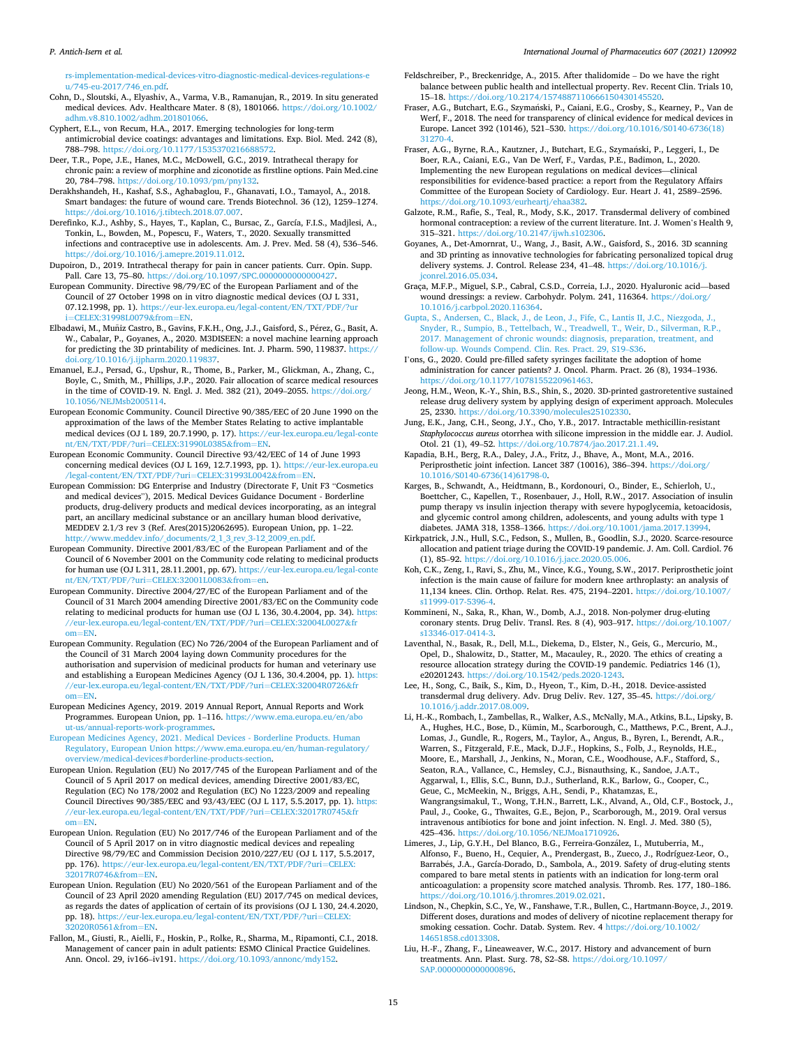<span id="page-14-0"></span>[rs-implementation-medical-devices-vitro-diagnostic-medical-devices-regulations-e](https://www.ema.europa.eu/en/documents/regulatory-procedural-guideline/questions-answers-implementation-medical-devices-vitro-diagnostic-medical-devices-regulations-eu/745-eu-2017/746_en.pdf) [u/745-eu-2017/746\\_en.pdf](https://www.ema.europa.eu/en/documents/regulatory-procedural-guideline/questions-answers-implementation-medical-devices-vitro-diagnostic-medical-devices-regulations-eu/745-eu-2017/746_en.pdf).

Cohn, D., Sloutski, A., Elyashiv, A., Varma, V.B., Ramanujan, R., 2019. In situ generated medical devices. Adv. Healthcare Mater. 8 (8), 1801066. [https://doi.org/10.1002/](https://doi.org/10.1002/adhm.v8.810.1002/adhm.201801066)  [adhm.v8.810.1002/adhm.201801066](https://doi.org/10.1002/adhm.v8.810.1002/adhm.201801066).

Cyphert, E.L., von Recum, H.A., 2017. Emerging technologies for long-term antimicrobial device coatings: advantages and limitations. Exp. Biol. Med. 242 (8), 788–798. <https://doi.org/10.1177/1535370216688572>.

Deer, T.R., Pope, J.E., Hanes, M.C., McDowell, G.C., 2019. Intrathecal therapy for chronic pain: a review of morphine and ziconotide as firstline options. Pain Med.cine 20, 784–798. [https://doi.org/10.1093/pm/pny132.](https://doi.org/10.1093/pm/pny132)

Derakhshandeh, H., Kashaf, S.S., Aghabaglou, F., Ghanavati, I.O., Tamayol, A., 2018. Smart bandages: the future of wound care. Trends Biotechnol. 36 (12), 1259–1274. <https://doi.org/10.1016/j.tibtech.2018.07.007>.

- Derefinko, K.J., Ashby, S., Hayes, T., Kaplan, C., Bursac, Z., García, F.I.S., Madjlesi, A., Tonkin, L., Bowden, M., Popescu, F., Waters, T., 2020. Sexually transmitted infections and contraceptive use in adolescents. Am. J. Prev. Med. 58 (4), 536–546. [https://doi.org/10.1016/j.amepre.2019.11.012.](https://doi.org/10.1016/j.amepre.2019.11.012)
- Dupoiron, D., 2019. Intrathecal therapy for pain in cancer patients. Curr. Opin. Supp. Pall. Care 13, 75–80. [https://doi.org/10.1097/SPC.0000000000000427.](https://doi.org/10.1097/SPC.0000000000000427)

European Community. Directive 98/79/EC of the European Parliament and of the Council of 27 October 1998 on in vitro diagnostic medical devices (OJ L 331, 07.12.1998, pp. 1). [https://eur-lex.europa.eu/legal-content/EN/TXT/PDF/?ur](https://eur-lex.europa.eu/legal-content/EN/TXT/PDF/?uri=CELEX%3a31998L0079%26from=EN) i=[CELEX:31998L0079](https://eur-lex.europa.eu/legal-content/EN/TXT/PDF/?uri=CELEX%3a31998L0079%26from=EN)&from=EN.

Elbadawi, M., Muñiz Castro, B., Gavins, F.K.H., Ong, J.J., Gaisford, S., Pérez, G., Basit, A. W., Cabalar, P., Goyanes, A., 2020. M3DISEEN: a novel machine learning approach for predicting the 3D printability of medicines. Int. J. Pharm. 590, 119837. [https://](https://doi.org/10.1016/j.ijpharm.2020.119837)  [doi.org/10.1016/j.ijpharm.2020.119837.](https://doi.org/10.1016/j.ijpharm.2020.119837)

- Emanuel, E.J., Persad, G., Upshur, R., Thome, B., Parker, M., Glickman, A., Zhang, C., Boyle, C., Smith, M., Phillips, J.P., 2020. Fair allocation of scarce medical resources in the time of COVID-19. N. Engl. J. Med. 382 (21), 2049–2055. [https://doi.org/](https://doi.org/10.1056/NEJMsb2005114) [10.1056/NEJMsb2005114](https://doi.org/10.1056/NEJMsb2005114).
- European Economic Community. Council Directive 90/385/EEC of 20 June 1990 on the approximation of the laws of the Member States Relating to active implantable medical devices (OJ L 189, 20.7.1990, p. 17). [https://eur-lex.europa.eu/legal-conte](https://eur-lex.europa.eu/legal-content/EN/TXT/PDF/?uri=CELEX:31990L0385&from=EN)  [nt/EN/TXT/PDF/?uri](https://eur-lex.europa.eu/legal-content/EN/TXT/PDF/?uri=CELEX:31990L0385&from=EN)=CELEX:31990L0385&from=EN.

European Economic Community. Council Directive 93/42/EEC of 14 of June 1993 concerning medical devices (OJ L 169, 12.7.1993, pp. 1). [https://eur-lex.europa.eu](https://eur-lex.europa.eu/legal-content/EN/TXT/PDF/?uri=CELEX%3a31993L0042%26from=EN)  [/legal-content/EN/TXT/PDF/?uri](https://eur-lex.europa.eu/legal-content/EN/TXT/PDF/?uri=CELEX%3a31993L0042%26from=EN)=CELEX:31993L0042&from=EN.

European Commission: DG Enterprise and Industry (Directorate F, Unit F3 "Cosmetics and medical devices"), 2015. Medical Devices Guidance Document - Borderline products, drug-delivery products and medical devices incorporating, as an integral part, an ancillary medicinal substance or an ancillary human blood derivative, MEDDEV 2.1/3 rev 3 (Ref. Ares(2015)2062695). European Union, pp. 1–22. [http://www.meddev.info/\\_documents/2\\_1\\_3\\_rev\\_3-12\\_2009\\_en.pdf](http://www.meddev.info/_documents/2_1_3_rev_3-12_2009_en.pdf).

European Community. Directive 2001/83/EC of the European Parliament and of the Council of 6 November 2001 on the Community code relating to medicinal products for human use (OJ L 311, 28.11.2001, pp. 67). [https://eur-lex.europa.eu/legal-conte](https://eur-lex.europa.eu/legal-content/EN/TXT/PDF/?uri=CELEX%3a32001L0083%26from=en)  [nt/EN/TXT/PDF/?uri](https://eur-lex.europa.eu/legal-content/EN/TXT/PDF/?uri=CELEX%3a32001L0083%26from=en)=CELEX:32001L0083&from=en.

European Community. Directive 2004/27/EC of the European Parliament and of the Council of 31 March 2004 amending Directive 2001/83/EC on the Community code relating to medicinal products for human use (OJ L 136, 30.4.2004, pp. 34). [https:](https://eur-lex.europa.eu/legal-content/EN/TXT/PDF/?uri=CELEX%3a32004L0027%26from=EN) [//eur-lex.europa.eu/legal-content/EN/TXT/PDF/?uri](https://eur-lex.europa.eu/legal-content/EN/TXT/PDF/?uri=CELEX%3a32004L0027%26from=EN)=CELEX:32004L0027&fr  $om = EN$ .

European Community. Regulation (EC) No 726/2004 of the European Parliament and of the Council of 31 March 2004 laying down Community procedures for the authorisation and supervision of medicinal products for human and veterinary use and establishing a European Medicines Agency (OJ L 136, 30.4.2004, pp. 1). [https:](https://eur-lex.europa.eu/legal-content/EN/TXT/PDF/?uri=CELEX%3a32004R0726%26from=EN)  [//eur-lex.europa.eu/legal-content/EN/TXT/PDF/?uri](https://eur-lex.europa.eu/legal-content/EN/TXT/PDF/?uri=CELEX%3a32004R0726%26from=EN)=CELEX:32004R0726&fr  $om-FN$ .

European Medicines Agency, 2019. 2019 Annual Report, Annual Reports and Work Programmes. European Union, pp. 1–116. [https://www.ema.europa.eu/en/abo](https://www.ema.europa.eu/en/about-us/annual-reports-work-programmes) [ut-us/annual-reports-work-programmes](https://www.ema.europa.eu/en/about-us/annual-reports-work-programmes).

[European Medicines Agency, 2021. Medical Devices - Borderline Products. Human](http://refhub.elsevier.com/S0378-5173(21)00798-5/h0200) [Regulatory, European Union https://www.ema.europa.eu/en/human-regulatory/](http://refhub.elsevier.com/S0378-5173(21)00798-5/h0200) [overview/medical-devices#borderline-products-section.](http://refhub.elsevier.com/S0378-5173(21)00798-5/h0200)

European Union. Regulation (EU) No 2017/745 of the European Parliament and of the Council of 5 April 2017 on medical devices, amending Directive 2001/83/EC, Regulation (EC) No 178/2002 and Regulation (EC) No 1223/2009 and repealing Council Directives 90/385/EEC and 93/43/EEC (OJ L 117, 5.5.2017, pp. 1). [https:](https://eur-lex.europa.eu/legal-content/EN/TXT/PDF/?uri=CELEX%3a32017R0745%26from=EN) [//eur-lex.europa.eu/legal-content/EN/TXT/PDF/?uri](https://eur-lex.europa.eu/legal-content/EN/TXT/PDF/?uri=CELEX%3a32017R0745%26from=EN)=CELEX:32017R0745&fr  $om = EN$ .

European Union. Regulation (EU) No 2017/746 of the European Parliament and of the Council of 5 April 2017 on in vitro diagnostic medical devices and repealing Directive 98/79/EC and Commission Decision 2010/227/EU (OJ L 117, 5.5.2017, pp. 176). [https://eur-lex.europa.eu/legal-content/EN/TXT/PDF/?uri](https://eur-lex.europa.eu/legal-content/EN/TXT/PDF/?uri=CELEX%3a32017R0746%26from=EN)=CELEX: [32017R0746](https://eur-lex.europa.eu/legal-content/EN/TXT/PDF/?uri=CELEX%3a32017R0746%26from=EN)&from=EN.

European Union. Regulation (EU) No 2020/561 of the European Parliament and of the Council of 23 April 2020 amending Regulation (EU) 2017/745 on medical devices, as regards the dates of application of certain of its provisions (OJ L 130, 24.4.2020, pp. 18). [https://eur-lex.europa.eu/legal-content/EN/TXT/PDF/?uri](https://eur-lex.europa.eu/legal-content/EN/TXT/PDF/?uri=CELEX%3a32020R0561%26from=EN)=CELEX: [32020R0561](https://eur-lex.europa.eu/legal-content/EN/TXT/PDF/?uri=CELEX%3a32020R0561%26from=EN)&from=EN.

Fallon, M., Giusti, R., Aielli, F., Hoskin, P., Rolke, R., Sharma, M., Ripamonti, C.I., 2018. Management of cancer pain in adult patients: ESMO Clinical Practice Guidelines. Ann. Oncol. 29, iv166–iv191. <https://doi.org/10.1093/annonc/mdy152>.

- Feldschreiber, P., Breckenridge, A., 2015. After thalidomide Do we have the right balance between public health and intellectual property. Rev. Recent Clin. Trials 10, 15–18. [https://doi.org/10.2174/1574887110666150430145520.](https://doi.org/10.2174/1574887110666150430145520)
- Fraser, A.G., Butchart, E.G., Szymański, P., Caiani, E.G., Crosby, S., Kearney, P., Van de Werf, F., 2018. The need for transparency of clinical evidence for medical devices in Europe. Lancet 392 (10146), 521–530. [https://doi.org/10.1016/S0140-6736\(18\)](https://doi.org/10.1016/S0140-6736(18)31270-4)

[31270-4](https://doi.org/10.1016/S0140-6736(18)31270-4).<br>Fraser, A.G., Byrne, R.A., Kautzner, J., Butchart, E.G., Szymański, P., Leggeri, I., De Boer, R.A., Caiani, E.G., Van De Werf, F., Vardas, P.E., Badimon, L., 2020. Implementing the new European regulations on medical devices—clinical responsibilities for evidence-based practice: a report from the Regulatory Affairs Committee of the European Society of Cardiology. Eur. Heart J. 41, 2589–2596. <https://doi.org/10.1093/eurheartj/ehaa382>.

Galzote, R.M., Rafie, S., Teal, R., Mody, S.K., 2017. Transdermal delivery of combined hormonal contraception: a review of the current literature. Int. J. Women's Health 9, 315–321. <https://doi.org/10.2147/ijwh.s102306>.

Goyanes, A., Det-Amornrat, U., Wang, J., Basit, A.W., Gaisford, S., 2016. 3D scanning and 3D printing as innovative technologies for fabricating personalized topical drug delivery systems. J. Control. Release 234, 41–48. [https://doi.org/10.1016/j.](https://doi.org/10.1016/j.jconrel.2016.05.034) [jconrel.2016.05.034.](https://doi.org/10.1016/j.jconrel.2016.05.034)

Graça, M.F.P., Miguel, S.P., Cabral, C.S.D., Correia, I.J., 2020. Hyaluronic acid—based wound dressings: a review. Carbohydr. Polym. 241, 116364. [https://doi.org/](https://doi.org/10.1016/j.carbpol.2020.116364)  [10.1016/j.carbpol.2020.116364](https://doi.org/10.1016/j.carbpol.2020.116364).

[Gupta, S., Andersen, C., Black, J., de Leon, J., Fife, C., Lantis II, J.C., Niezgoda, J.,](http://refhub.elsevier.com/S0378-5173(21)00798-5/h0255) [Snyder, R., Sumpio, B., Tettelbach, W., Treadwell, T., Weir, D., Silverman, R.P.,](http://refhub.elsevier.com/S0378-5173(21)00798-5/h0255)  [2017. Management of chronic wounds: diagnosis, preparation, treatment, and](http://refhub.elsevier.com/S0378-5173(21)00798-5/h0255)  [follow-up. Wounds Compend. Clin. Res. Pract. 29, S19](http://refhub.elsevier.com/S0378-5173(21)00798-5/h0255)–S36.

I'ons, G., 2020. Could pre-filled safety syringes facilitate the adoption of home administration for cancer patients? J. Oncol. Pharm. Pract. 26 (8), 1934–1936. [https://doi.org/10.1177/1078155220961463.](https://doi.org/10.1177/1078155220961463)

Jeong, H.M., Weon, K.-Y., Shin, B.S., Shin, S., 2020. 3D-printed gastroretentive sustained release drug delivery system by applying design of experiment approach. Molecules 25, 2330. [https://doi.org/10.3390/molecules25102330.](https://doi.org/10.3390/molecules25102330)

Jung, E.K., Jang, C.H., Seong, J.Y., Cho, Y.B., 2017. Intractable methicillin-resistant *Staphylococcus aureus* otorrhea with silicone impression in the middle ear. J. Audiol. Otol. 21 (1), 49–52. [https://doi.org/10.7874/jao.2017.21.1.49.](https://doi.org/10.7874/jao.2017.21.1.49)

Kapadia, B.H., Berg, R.A., Daley, J.A., Fritz, J., Bhave, A., Mont, M.A., 2016. Periprosthetic joint infection. Lancet 387 (10016), 386–394. [https://doi.org/](https://doi.org/10.1016/S0140-6736(14)61798-0) [10.1016/S0140-6736\(14\)61798-0.](https://doi.org/10.1016/S0140-6736(14)61798-0)

Karges, B., Schwandt, A., Heidtmann, B., Kordonouri, O., Binder, E., Schierloh, U., Boettcher, C., Kapellen, T., Rosenbauer, J., Holl, R.W., 2017. Association of insulin pump therapy vs insulin injection therapy with severe hypoglycemia, ketoacidosis, and glycemic control among children, adolescents, and young adults with type 1 diabetes. JAMA 318, 1358–1366. <https://doi.org/10.1001/jama.2017.13994>.

Kirkpatrick, J.N., Hull, S.C., Fedson, S., Mullen, B., Goodlin, S.J., 2020. Scarce-resource allocation and patient triage during the COVID-19 pandemic. J. Am. Coll. Cardiol. 76 (1), 85–92.<https://doi.org/10.1016/j.jacc.2020.05.006>.

Koh, C.K., Zeng, I., Ravi, S., Zhu, M., Vince, K.G., Young, S.W., 2017. Periprosthetic joint infection is the main cause of failure for modern knee arthroplasty: an analysis of 11,134 knees. Clin. Orthop. Relat. Res. 475, 2194–2201. [https://doi.org/10.1007/](https://doi.org/10.1007/s11999-017-5396-4)  [s11999-017-5396-4.](https://doi.org/10.1007/s11999-017-5396-4)

Kommineni, N., Saka, R., Khan, W., Domb, A.J., 2018. Non-polymer drug-eluting coronary stents. Drug Deliv. Transl. Res. 8 (4), 903–917. [https://doi.org/10.1007/](https://doi.org/10.1007/s13346-017-0414-3) [s13346-017-0414-3.](https://doi.org/10.1007/s13346-017-0414-3)

Laventhal, N., Basak, R., Dell, M.L., Diekema, D., Elster, N., Geis, G., Mercurio, M., Opel, D., Shalowitz, D., Statter, M., Macauley, R., 2020. The ethics of creating a resource allocation strategy during the COVID-19 pandemic. Pediatrics 146 (1), e20201243.<https://doi.org/10.1542/peds.2020-1243>.

Lee, H., Song, C., Baik, S., Kim, D., Hyeon, T., Kim, D.-H., 2018. Device-assisted transdermal drug delivery. Adv. Drug Deliv. Rev. 127, 35–45. [https://doi.org/](https://doi.org/10.1016/j.addr.2017.08.009) [10.1016/j.addr.2017.08.009](https://doi.org/10.1016/j.addr.2017.08.009).

Li, H.-K., Rombach, I., Zambellas, R., Walker, A.S., McNally, M.A., Atkins, B.L., Lipsky, B. A., Hughes, H.C., Bose, D., Kümin, M., Scarborough, C., Matthews, P.C., Brent, A.J., Lomas, J., Gundle, R., Rogers, M., Taylor, A., Angus, B., Byren, I., Berendt, A.R., Warren, S., Fitzgerald, F.E., Mack, D.J.F., Hopkins, S., Folb, J., Reynolds, H.E., Moore, E., Marshall, J., Jenkins, N., Moran, C.E., Woodhouse, A.F., Stafford, S., Seaton, R.A., Vallance, C., Hemsley, C.J., Bisnauthsing, K., Sandoe, J.A.T., Aggarwal, I., Ellis, S.C., Bunn, D.J., Sutherland, R.K., Barlow, G., Cooper, C., Geue, C., McMeekin, N., Briggs, A.H., Sendi, P., Khatamzas, E., Wangrangsimakul, T., Wong, T.H.N., Barrett, L.K., Alvand, A., Old, C.F., Bostock, J., Paul, J., Cooke, G., Thwaites, G.E., Bejon, P., Scarborough, M., 2019. Oral versus intravenous antibiotics for bone and joint infection. N. Engl. J. Med. 380 (5), 425–436. [https://doi.org/10.1056/NEJMoa1710926.](https://doi.org/10.1056/NEJMoa1710926)

Limeres, J., Lip, G.Y.H., Del Blanco, B.G., Ferreira-González, I., Mutuberria, M., Alfonso, F., Bueno, H., Cequier, A., Prendergast, B., Zueco, J., Rodríguez-Leor, O., Barrabés, J.A., García-Dorado, D., Sambola, A., 2019. Safety of drug-eluting stents compared to bare metal stents in patients with an indication for long-term oral anticoagulation: a propensity score matched analysis. Thromb. Res. 177, 180–186. <https://doi.org/10.1016/j.thromres.2019.02.021>.

Lindson, N., Chepkin, S.C., Ye, W., Fanshawe, T.R., Bullen, C., Hartmann-Boyce, J., 2019. Different doses, durations and modes of delivery of nicotine replacement therapy for smoking cessation. Cochr. Datab. System. Rev. 4 [https://doi.org/10.1002/](https://doi.org/10.1002/14651858.cd013308)  [14651858.cd013308](https://doi.org/10.1002/14651858.cd013308).

Liu, H.-F., Zhang, F., Lineaweaver, W.C., 2017. History and advancement of burn treatments. Ann. Plast. Surg. 78, S2–S8. [https://doi.org/10.1097/](https://doi.org/10.1097/SAP.0000000000000896)  [SAP.0000000000000896](https://doi.org/10.1097/SAP.0000000000000896).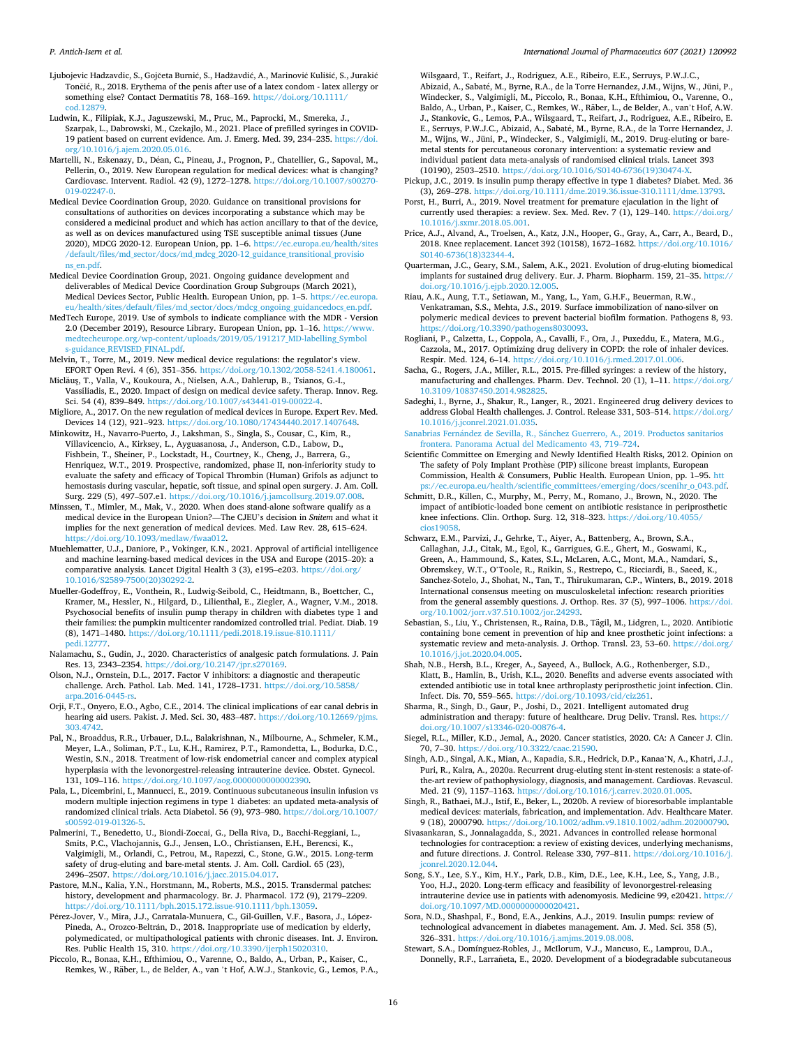- <span id="page-15-0"></span>[cod.12879](https://doi.org/10.1111/cod.12879). Ludwin, K., Filipiak, K.J., Jaguszewski, M., Pruc, M., Paprocki, M., Smereka, J., Szarpak, L., Dabrowski, M., Czekajlo, M., 2021. Place of prefilled syringes in COVID-19 patient based on current evidence. Am. J. Emerg. Med. 39, 234–235. [https://doi.](https://doi.org/10.1016/j.ajem.2020.05.016)  [org/10.1016/j.ajem.2020.05.016](https://doi.org/10.1016/j.ajem.2020.05.016).
- Martelli, N., Eskenazy, D., Déan, C., Pineau, J., Prognon, P., Chatellier, G., Sapoval, M., Pellerin, O., 2019. New European regulation for medical devices: what is changing? Cardiovasc. Intervent. Radiol. 42 (9), 1272–1278. [https://doi.org/10.1007/s00270-](https://doi.org/10.1007/s00270-019-02247-0)  [019-02247-0.](https://doi.org/10.1007/s00270-019-02247-0)
- Medical Device Coordination Group, 2020. Guidance on transitional provisions for consultations of authorities on devices incorporating a substance which may be considered a medicinal product and which has action ancillary to that of the device, as well as on devices manufactured using TSE susceptible animal tissues (June 2020), MDCG 2020-12. European Union, pp. 1–6. [https://ec.europa.eu/health/sites](https://ec.europa.eu/health/sites/default/files/md_sector/docs/md_mdcg_2020-12_guidance_transitional_provisions_en.pdf)  [/default/files/md\\_sector/docs/md\\_mdcg\\_2020-12\\_guidance\\_transitional\\_provisio](https://ec.europa.eu/health/sites/default/files/md_sector/docs/md_mdcg_2020-12_guidance_transitional_provisions_en.pdf) [ns\\_en.pdf.](https://ec.europa.eu/health/sites/default/files/md_sector/docs/md_mdcg_2020-12_guidance_transitional_provisions_en.pdf)
- Medical Device Coordination Group, 2021. Ongoing guidance development and deliverables of Medical Device Coordination Group Subgroups (March 2021), Medical Devices Sector, Public Health. European Union, pp. 1–5. [https://ec.europa.](https://ec.europa.eu/health/sites/default/files/md_sector/docs/mdcg_ongoing_guidancedocs_en.pdf)  [eu/health/sites/default/files/md\\_sector/docs/mdcg\\_ongoing\\_guidancedocs\\_en.pdf](https://ec.europa.eu/health/sites/default/files/md_sector/docs/mdcg_ongoing_guidancedocs_en.pdf).
- MedTech Europe, 2019. Use of symbols to indicate compliance with the MDR Version 2.0 (December 2019), Resource Library. European Union, pp. 1–16. [https://www.](https://www.medtecheurope.org/wp-content/uploads/2019/05/191217_MD-labelling_Symbols-guidance_REVISED_FINAL.pdf)  [medtecheurope.org/wp-content/uploads/2019/05/191217\\_MD-labelling\\_Symbol](https://www.medtecheurope.org/wp-content/uploads/2019/05/191217_MD-labelling_Symbols-guidance_REVISED_FINAL.pdf) s-guidance REVISED FINAL.pdf.
- Melvin, T., Torre, M., 2019. New medical device regulations: the regulator's view. EFORT Open Revi. 4 (6), 351–356. [https://doi.org/10.1302/2058-5241.4.180061.](https://doi.org/10.1302/2058-5241.4.180061)
- Miclăuş, T., Valla, V., Koukoura, A., Nielsen, A.A., Dahlerup, B., Tsianos, G.-I., Vassiliadis, E., 2020. Impact of design on medical device safety. Therap. Innov. Reg. Sci. 54 (4), 839–849. [https://doi.org/10.1007/s43441-019-00022-4.](https://doi.org/10.1007/s43441-019-00022-4)

Migliore, A., 2017. On the new regulation of medical devices in Europe. Expert Rev. Med. Devices 14 (12), 921–923. [https://doi.org/10.1080/17434440.2017.1407648.](https://doi.org/10.1080/17434440.2017.1407648)

- Minkowitz, H., Navarro-Puerto, J., Lakshman, S., Singla, S., Cousar, C., Kim, R., Villavicencio, A., Kirksey, L., Ayguasanosa, J., Anderson, C.D., Labow, D., Fishbein, T., Sheiner, P., Lockstadt, H., Courtney, K., Cheng, J., Barrera, G., Henriquez, W.T., 2019. Prospective, randomized, phase II, non-inferiority study to evaluate the safety and efficacy of Topical Thrombin (Human) Grifols as adjunct to hemostasis during vascular, hepatic, soft tissue, and spinal open surgery. J. Am. Coll. Surg. 229 (5), 497–507.e1. <https://doi.org/10.1016/j.jamcollsurg.2019.07.008>.
- Minssen, T., Mimler, M., Mak, V., 2020. When does stand-alone software qualify as a medical device in the European Union?—The CJEU's decision in *Snitem* and what it implies for the next generation of medical devices. Med. Law Rev. 28, 615–624. <https://doi.org/10.1093/medlaw/fwaa012>.
- Muehlematter, U.J., Daniore, P., Vokinger, K.N., 2021. Approval of artificial intelligence and machine learning-based medical devices in the USA and Europe (2015–20): a comparative analysis. Lancet Digital Health 3 (3), e195–e203. [https://doi.org/](https://doi.org/10.1016/S2589-7500(20)30292-2)  [10.1016/S2589-7500\(20\)30292-2.](https://doi.org/10.1016/S2589-7500(20)30292-2)
- Mueller-Godeffroy, E., Vonthein, R., Ludwig-Seibold, C., Heidtmann, B., Boettcher, C., Kramer, M., Hessler, N., Hilgard, D., Lilienthal, E., Ziegler, A., Wagner, V.M., 2018. Psychosocial benefits of insulin pump therapy in children with diabetes type 1 and their families: the pumpkin multicenter randomized controlled trial. Pediat. Diab. 19 (8), 1471–1480. [https://doi.org/10.1111/pedi.2018.19.issue-810.1111/](https://doi.org/10.1111/pedi.2018.19.issue-810.1111/pedi.12777) [pedi.12777.](https://doi.org/10.1111/pedi.2018.19.issue-810.1111/pedi.12777)
- Nalamachu, S., Gudin, J., 2020. Characteristics of analgesic patch formulations. J. Pain Res. 13, 2343–2354. [https://doi.org/10.2147/jpr.s270169.](https://doi.org/10.2147/jpr.s270169)
- Olson, N.J., Ornstein, D.L., 2017. Factor V inhibitors: a diagnostic and therapeutic challenge. Arch. Pathol. Lab. Med. 141, 1728–1731. [https://doi.org/10.5858/](https://doi.org/10.5858/arpa.2016-0445-rs)  $ma.2016 - 0445 - r$
- Orji, F.T., Onyero, E.O., Agbo, C.E., 2014. The clinical implications of ear canal debris in hearing aid users. Pakist. J. Med. Sci. 30, 483–487. [https://doi.org/10.12669/pjms.](https://doi.org/10.12669/pjms.303.4742)  [303.4742](https://doi.org/10.12669/pjms.303.4742).
- Pal, N., Broaddus, R.R., Urbauer, D.L., Balakrishnan, N., Milbourne, A., Schmeler, K.M., Meyer, L.A., Soliman, P.T., Lu, K.H., Ramirez, P.T., Ramondetta, L., Bodurka, D.C., Westin, S.N., 2018. Treatment of low-risk endometrial cancer and complex atypical hyperplasia with the levonorgestrel-releasing intrauterine device. Obstet. Gynecol. 131, 109–116. [https://doi.org/10.1097/aog.0000000000002390.](https://doi.org/10.1097/aog.0000000000002390)
- Pala, L., Dicembrini, I., Mannucci, E., 2019. Continuous subcutaneous insulin infusion vs modern multiple injection regimens in type 1 diabetes: an updated meta-analysis of randomized clinical trials. Acta Diabetol. 56 (9), 973–980. [https://doi.org/10.1007/](https://doi.org/10.1007/s00592-019-01326-5)  [s00592-019-01326-5](https://doi.org/10.1007/s00592-019-01326-5).
- Palmerini, T., Benedetto, U., Biondi-Zoccai, G., Della Riva, D., Bacchi-Reggiani, L., Smits, P.C., Vlachojannis, G.J., Jensen, L.O., Christiansen, E.H., Berencsi, K., Valgimigli, M., Orlandi, C., Petrou, M., Rapezzi, C., Stone, G.W., 2015. Long-term safety of drug-eluting and bare-metal stents. J. Am. Coll. Cardiol. 65 (23), 2496–2507. [https://doi.org/10.1016/j.jacc.2015.04.017.](https://doi.org/10.1016/j.jacc.2015.04.017)
- Pastore, M.N., Kalia, Y.N., Horstmann, M., Roberts, M.S., 2015. Transdermal patches: history, development and pharmacology. Br. J. Pharmacol. 172 (9), 2179–2209. /doi.org/10.1111/bph.2015.172.issue-910.1111/bph.13059
- Pérez-Jover, V., Mira, J.J., Carratala-Munuera, C., Gil-Guillen, V.F., Basora, J., López-Pineda, A., Orozco-Beltrán, D., 2018. Inappropriate use of medication by elderly, polymedicated, or multipathological patients with chronic diseases. Int. J. Environ. Res. Public Health 15, 310. [https://doi.org/10.3390/ijerph15020310.](https://doi.org/10.3390/ijerph15020310)
- Piccolo, R., Bonaa, K.H., Efthimiou, O., Varenne, O., Baldo, A., Urban, P., Kaiser, C., Remkes, W., Räber, L., de Belder, A., van 't Hof, A.W.J., Stankovic, G., Lemos, P.A.,

Wilsgaard, T., Reifart, J., Rodriguez, A.E., Ribeiro, E.E., Serruys, P.W.J.C., Abizaid, A., Sabat´e, M., Byrne, R.A., de la Torre Hernandez, J.M., Wijns, W., Jüni, P., Windecker, S., Valgimigli, M., Piccolo, R., Bonaa, K.H., Efthimiou, O., Varenne, O., Baldo, A., Urban, P., Kaiser, C., Remkes, W., Räber, L., de Belder, A., van't Hof, A.W. J., Stankovic, G., Lemos, P.A., Wilsgaard, T., Reifart, J., Rodriguez, A.E., Ribeiro, E. E., Serruys, P.W.J.C., Abizaid, A., Sabaté, M., Byrne, R.A., de la Torre Hernandez, J. M., Wijns, W., Jüni, P., Windecker, S., Valgimigli, M., 2019. Drug-eluting or baremetal stents for percutaneous coronary intervention: a systematic review and individual patient data meta-analysis of randomised clinical trials. Lancet 393 (10190), 2503–2510. [https://doi.org/10.1016/S0140-6736\(19\)30474-X.](https://doi.org/10.1016/S0140-6736(19)30474-X)

- Pickup, J.C., 2019. Is insulin pump therapy effective in type 1 diabetes? Diabet. Med. 36 (3), 269–278.<https://doi.org/10.1111/dme.2019.36.issue-310.1111/dme.13793>.
- Porst, H., Burri, A., 2019. Novel treatment for premature ejaculation in the light of currently used therapies: a review. Sex. Med. Rev. 7 (1), 129–140. [https://doi.org/](https://doi.org/10.1016/j.sxmr.2018.05.001)  [10.1016/j.sxmr.2018.05.001](https://doi.org/10.1016/j.sxmr.2018.05.001).
- Price, A.J., Alvand, A., Troelsen, A., Katz, J.N., Hooper, G., Gray, A., Carr, A., Beard, D., 2018. Knee replacement. Lancet 392 (10158), 1672–1682. [https://doi.org/10.1016/](https://doi.org/10.1016/S0140-6736(18)32344-4)  [S0140-6736\(18\)32344-4](https://doi.org/10.1016/S0140-6736(18)32344-4).
- Quarterman, J.C., Geary, S.M., Salem, A.K., 2021. Evolution of drug-eluting biomedical implants for sustained drug delivery. Eur. J. Pharm. Biopharm. 159, 21–35. [https://](https://doi.org/10.1016/j.ejpb.2020.12.005)  doi.org/10.1016/j.ejpb.2020.12.00

Riau, A.K., Aung, T.T., Setiawan, M., Yang, L., Yam, G.H.F., Beuerman, R.W., Venkatraman, S.S., Mehta, J.S., 2019. Surface immobilization of nano-silver on polymeric medical devices to prevent bacterial biofilm formation. Pathogens 8, 93. <https://doi.org/10.3390/pathogens8030093>.

- Rogliani, P., Calzetta, L., Coppola, A., Cavalli, F., Ora, J., Puxeddu, E., Matera, M.G., Cazzola, M., 2017. Optimizing drug delivery in COPD: the role of inhaler devices. Respir. Med. 124, 6–14. [https://doi.org/10.1016/j.rmed.2017.01.006.](https://doi.org/10.1016/j.rmed.2017.01.006)
- Sacha, G., Rogers, J.A., Miller, R.L., 2015. Pre-filled syringes: a review of the history, manufacturing and challenges. Pharm. Dev. Technol. 20 (1), 1–11. [https://doi.org/](https://doi.org/10.3109/10837450.2014.982825)  [10.3109/10837450.2014.982825](https://doi.org/10.3109/10837450.2014.982825).
- Sadeghi, I., Byrne, J., Shakur, R., Langer, R., 2021. Engineered drug delivery devices to address Global Health challenges. J. Control. Release 331, 503–514. [https://doi.org/](https://doi.org/10.1016/j.jconrel.2021.01.035)  [10.1016/j.jconrel.2021.01.035.](https://doi.org/10.1016/j.jconrel.2021.01.035)
- Sanabrias Fernández de Sevilla, R., Sánchez Guerrero, A., 2019. Productos sanitarios [frontera. Panorama Actual del Medicamento 43, 719](http://refhub.elsevier.com/S0378-5173(21)00798-5/h9000)–724.
- Scientific Committee on Emerging and Newly Identified Health Risks, 2012. Opinion on The safety of Poly Implant Prothèse (PIP) silicone breast implants, European Commission, Health & Consumers, Public Health. European Union, pp. 1–95. [htt](https://ec.europa.eu/health/scientific_committees/emerging/docs/scenihr_o_043.pdf) [ps://ec.europa.eu/health/scientific\\_committees/emerging/docs/scenihr\\_o\\_043.pdf.](https://ec.europa.eu/health/scientific_committees/emerging/docs/scenihr_o_043.pdf)
- Schmitt, D.R., Killen, C., Murphy, M., Perry, M., Romano, J., Brown, N., 2020. The impact of antibiotic-loaded bone cement on antibiotic resistance in periprosthetic knee infections. Clin. Orthop. Surg. 12, 318–323. [https://doi.org/10.4055/](https://doi.org/10.4055/cios19058)  [cios19058](https://doi.org/10.4055/cios19058).
- Schwarz, E.M., Parvizi, J., Gehrke, T., Aiyer, A., Battenberg, A., Brown, S.A., Callaghan, J.J., Citak, M., Egol, K., Garrigues, G.E., Ghert, M., Goswami, K., Green, A., Hammound, S., Kates, S.L., McLaren, A.C., Mont, M.A., Namdari, S., Obremskey, W.T., O'Toole, R., Raikin, S., Restrepo, C., Ricciardi, B., Saeed, K., Sanchez-Sotelo, J., Shohat, N., Tan, T., Thirukumaran, C.P., Winters, B., 2019. 2018 International consensus meeting on musculoskeletal infection: research priorities from the general assembly questions. J. Orthop. Res. 37 (5), 997–1006. [https://doi.](https://doi.org/10.1002/jorr.v37.510.1002/jor.24293)  [org/10.1002/jorr.v37.510.1002/jor.24293](https://doi.org/10.1002/jorr.v37.510.1002/jor.24293).
- Sebastian, S., Liu, Y., Christensen, R., Raina, D.B., Tägil, M., Lidgren, L., 2020. Antibiotic containing bone cement in prevention of hip and knee prosthetic joint infections: a systematic review and meta-analysis. J. Orthop. Transl. 23, 53–60. [https://doi.org/](https://doi.org/10.1016/j.jot.2020.04.005)  [10.1016/j.jot.2020.04.005.](https://doi.org/10.1016/j.jot.2020.04.005)
- Shah, N.B., Hersh, B.L., Kreger, A., Sayeed, A., Bullock, A.G., Rothenberger, S.D., Klatt, B., Hamlin, B., Urish, K.L., 2020. Benefits and adverse events associated with extended antibiotic use in total knee arthroplasty periprosthetic joint infection. Clin. Infect. Dis. 70, 559–565. <https://doi.org/10.1093/cid/ciz261>.
- Sharma, R., Singh, D., Gaur, P., Joshi, D., 2021. Intelligent automated drug administration and therapy: future of healthcare. Drug Deliv. Transl. Res. [https://](https://doi.org/10.1007/s13346-020-00876-4)  [doi.org/10.1007/s13346-020-00876-4](https://doi.org/10.1007/s13346-020-00876-4).
- Siegel, R.L., Miller, K.D., Jemal, A., 2020. Cancer statistics, 2020. CA: A Cancer J. Clin. 70, 7–30. <https://doi.org/10.3322/caac.21590>.
- Singh, A.D., Singal, A.K., Mian, A., Kapadia, S.R., Hedrick, D.P., Kanaa'N, A., Khatri, J.J., Puri, R., Kalra, A., 2020a. Recurrent drug-eluting stent in-stent restenosis: a state-ofthe-art review of pathophysiology, diagnosis, and management. Cardiovas. Revascul. Med. 21 (9), 1157–1163. [https://doi.org/10.1016/j.carrev.2020.01.005.](https://doi.org/10.1016/j.carrev.2020.01.005)
- Singh, R., Bathaei, M.J., Istif, E., Beker, L., 2020b. A review of bioresorbable implantable medical devices: materials, fabrication, and implementation. Adv. Healthcare Mater. 9 (18), 2000790. <https://doi.org/10.1002/adhm.v9.1810.1002/adhm.202000790>.
- Sivasankaran, S., Jonnalagadda, S., 2021. Advances in controlled release hormonal technologies for contraception: a review of existing devices, underlying mechanisms, and future directions. J. Control. Release 330, 797–811. [https://doi.org/10.1016/j.](https://doi.org/10.1016/j.jconrel.2020.12.044)  [jconrel.2020.12.044.](https://doi.org/10.1016/j.jconrel.2020.12.044)
- Song, S.Y., Lee, S.Y., Kim, H.Y., Park, D.B., Kim, D.E., Lee, K.H., Lee, S., Yang, J.B., Yoo, H.J., 2020. Long-term efficacy and feasibility of levonorgestrel-releasing intrauterine device use in patients with adenomyosis. Medicine 99, e20421. [https://](https://doi.org/10.1097/MD.0000000000020421)  [doi.org/10.1097/MD.0000000000020421](https://doi.org/10.1097/MD.0000000000020421).
- Sora, N.D., Shashpal, F., Bond, E.A., Jenkins, A.J., 2019. Insulin pumps: review of technological advancement in diabetes management. Am. J. Med. Sci. 358 (5), 326–331. [https://doi.org/10.1016/j.amjms.2019.08.008.](https://doi.org/10.1016/j.amjms.2019.08.008)
- Stewart, S.A., Domínguez-Robles, J., McIlorum, V.J., Mancuso, E., Lamprou, D.A., Donnelly, R.F., Larraneta, E., 2020. Development of a biodegradable subcutaneous